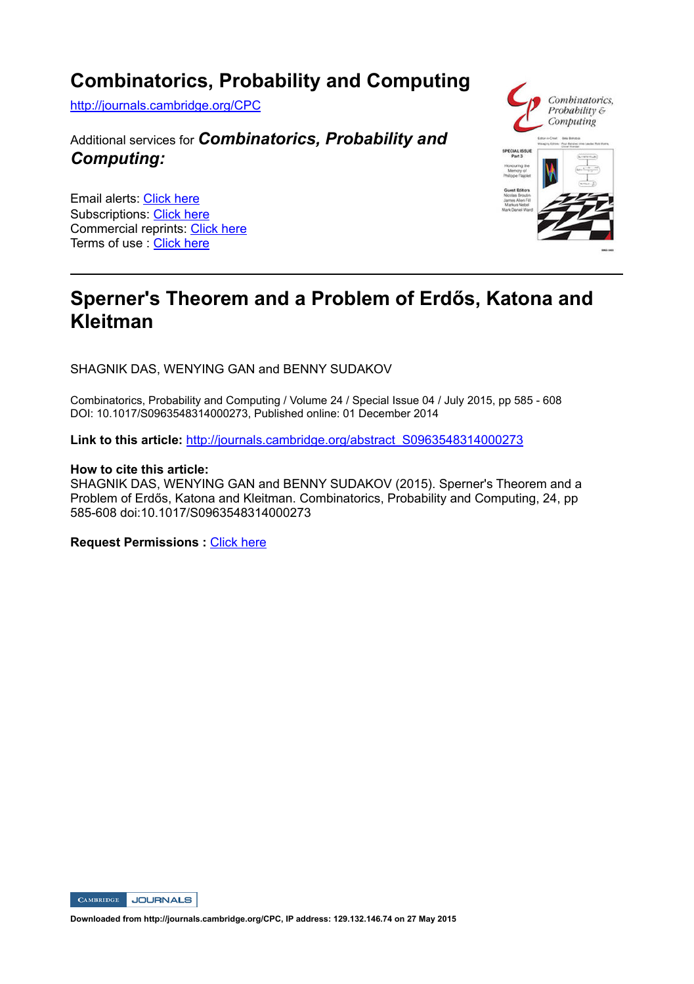## **Combinatorics, Probability and Computing**

http://journals.cambridge.org/CPC

## Additional services for *Combinatorics, Probability and Computing:*

Email alerts: Click here Subscriptions: Click here Commercial reprints: Click here Terms of use : Click here



## **Sperner's Theorem and a Problem of Erdős, Katona and Kleitman**

SHAGNIK DAS, WENYING GAN and BENNY SUDAKOV

Combinatorics, Probability and Computing / Volume 24 / Special Issue 04 / July 2015, pp 585 - 608 DOI: 10.1017/S0963548314000273, Published online: 01 December 2014

**Link to this article:** http://journals.cambridge.org/abstract\_S0963548314000273

#### **How to cite this article:**

SHAGNIK DAS, WENYING GAN and BENNY SUDAKOV (2015). Sperner's Theorem and a Problem of Erdős, Katona and Kleitman. Combinatorics, Probability and Computing, 24, pp 585-608 doi:10.1017/S0963548314000273

**Request Permissions :** Click here



**Downloaded from http://journals.cambridge.org/CPC, IP address: 129.132.146.74 on 27 May 2015**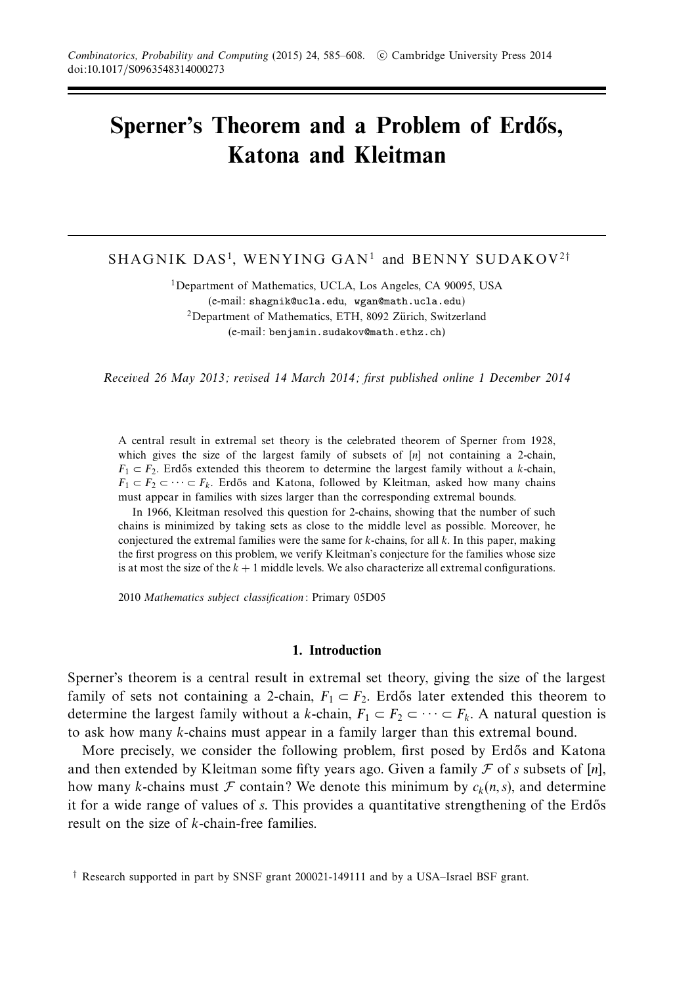# **Sperner's Theorem and a Problem of Erdős, Katona and Kleitman**

### SHAGNIK DAS<sup>1</sup>, WENYING GAN<sup>1</sup> and BENNY SUDAKOV<sup>2†</sup>

<sup>1</sup>Department of Mathematics, UCLA, Los Angeles, CA 90095, USA (e-mail: shagnik@ucla.edu, wgan@math.ucla.edu)  ${}^{2}$ Department of Mathematics, ETH, 8092 Zürich, Switzerland (e-mail: benjamin.sudakov@math.ethz.ch)

Received 26 May 2013; revised 14 March 2014; first published online 1 December 2014

A central result in extremal set theory is the celebrated theorem of Sperner from 1928, which gives the size of the largest family of subsets of  $[n]$  not containing a 2-chain,  $F_1 \nightharpoonup F_2$ . Erdős extended this theorem to determine the largest family without a *k*-chain,  $F_1 \subset F_2 \subset \cdots \subset F_k$ . Erdős and Katona, followed by Kleitman, asked how many chains must appear in families with sizes larger than the corresponding extremal bounds.

In 1966, Kleitman resolved this question for 2-chains, showing that the number of such chains is minimized by taking sets as close to the middle level as possible. Moreover, he conjectured the extremal families were the same for *k*-chains, for all *k*. In this paper, making the first progress on this problem, we verify Kleitman's conjecture for the families whose size is at most the size of the  $k + 1$  middle levels. We also characterize all extremal configurations.

2010 Mathematics subject classification: Primary 05D05

#### **1. Introduction**

Sperner's theorem is a central result in extremal set theory, giving the size of the largest family of sets not containing a 2-chain,  $F_1 \subset F_2$ . Erdős later extended this theorem to determine the largest family without a *k*-chain,  $F_1 \subset F_2 \subset \cdots \subset F_k$ . A natural question is to ask how many *k*-chains must appear in a family larger than this extremal bound.

More precisely, we consider the following problem, first posed by Erdős and Katona and then extended by Kleitman some fifty years ago. Given a family  $\mathcal F$  of *s* subsets of [*n*], how many *k*-chains must F contain? We denote this minimum by  $c_k(n, s)$ , and determine it for a wide range of values of *s*. This provides a quantitative strengthening of the Erdős result on the size of *k*-chain-free families.

<sup>†</sup> Research supported in part by SNSF grant 200021-149111 and by a USA–Israel BSF grant.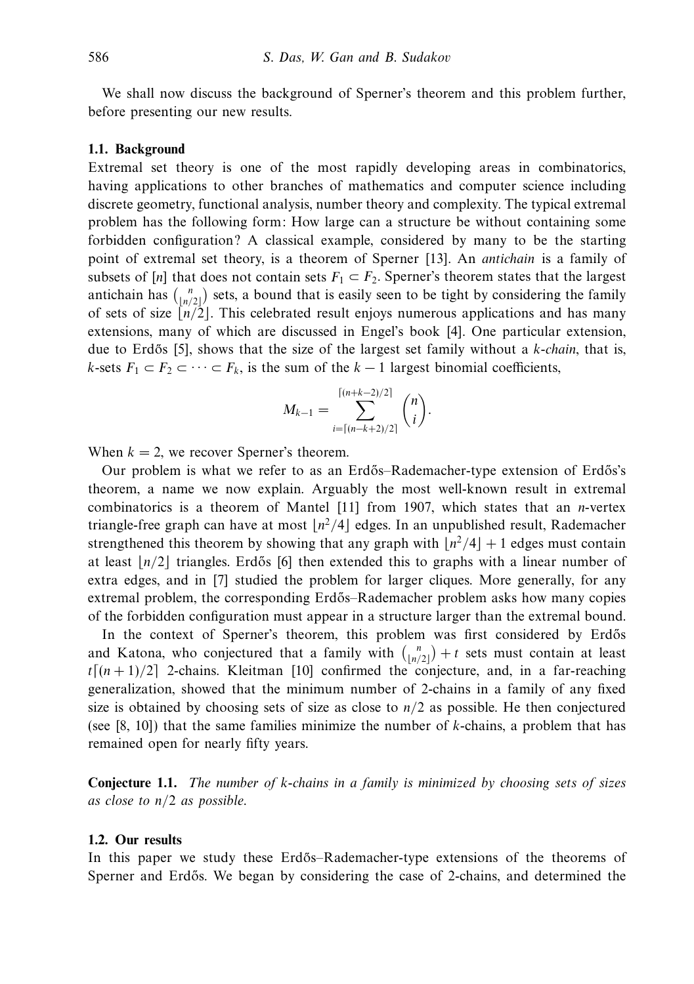We shall now discuss the background of Sperner's theorem and this problem further, before presenting our new results.

#### **1.1. Background**

Extremal set theory is one of the most rapidly developing areas in combinatorics, having applications to other branches of mathematics and computer science including discrete geometry, functional analysis, number theory and complexity. The typical extremal problem has the following form: How large can a structure be without containing some forbidden configuration? A classical example, considered by many to be the starting point of extremal set theory, is a theorem of Sperner [13]. An antichain is a family of subsets of [*n*] that does not contain sets  $F_1 \subset F_2$ . Sperner's theorem states that the largest antichain has  $\binom{n}{\lfloor n/2 \rfloor}$  sets, a bound that is easily seen to be tight by considering the family of sets of size  $\lfloor n/2 \rfloor$ . This celebrated result enjoys numerous applications and has many extensions, many of which are discussed in Engel's book [4]. One particular extension, due to Erdős  $[5]$ , shows that the size of the largest set family without a  $k$ -chain, that is, *k*-sets  $F_1 \subset F_2 \subset \cdots \subset F_k$ , is the sum of the  $k-1$  largest binomial coefficients,

$$
M_{k-1} = \sum_{i=\lceil (n-k+2)/2 \rceil}^{\lceil (n+k-2)/2 \rceil} \binom{n}{i}.
$$

When  $k = 2$ , we recover Sperner's theorem.

Our problem is what we refer to as an Erd˝os–Rademacher-type extension of Erd˝os's theorem, a name we now explain. Arguably the most well-known result in extremal combinatorics is a theorem of Mantel [11] from 1907, which states that an *n*-vertex triangle-free graph can have at most  $n^2/4$  edges. In an unpublished result, Rademacher strengthened this theorem by showing that any graph with  $\frac{n^2}{4} + 1$  edges must contain at least  $n/2$  triangles. Erdős [6] then extended this to graphs with a linear number of extra edges, and in [7] studied the problem for larger cliques. More generally, for any extremal problem, the corresponding Erdős–Rademacher problem asks how many copies of the forbidden configuration must appear in a structure larger than the extremal bound.

In the context of Sperner's theorem, this problem was first considered by Erdős and Katona, who conjectured that a family with  $\binom{n}{\lfloor n/2 \rfloor} + t$  sets must contain at least  $t[(n+1)/2]$  2-chains. Kleitman [10] confirmed the conjecture, and, in a far-reaching generalization, showed that the minimum number of 2-chains in a family of any fixed size is obtained by choosing sets of size as close to  $n/2$  as possible. He then conjectured (see [8, 10]) that the same families minimize the number of *k*-chains, a problem that has remained open for nearly fifty years.

**Conjecture 1.1.** The number of *k*-chains in a family is minimized by choosing sets of sizes as close to *n/*2 as possible.

#### **1.2. Our results**

In this paper we study these Erdős–Rademacher-type extensions of the theorems of Sperner and Erd˝os. We began by considering the case of 2-chains, and determined the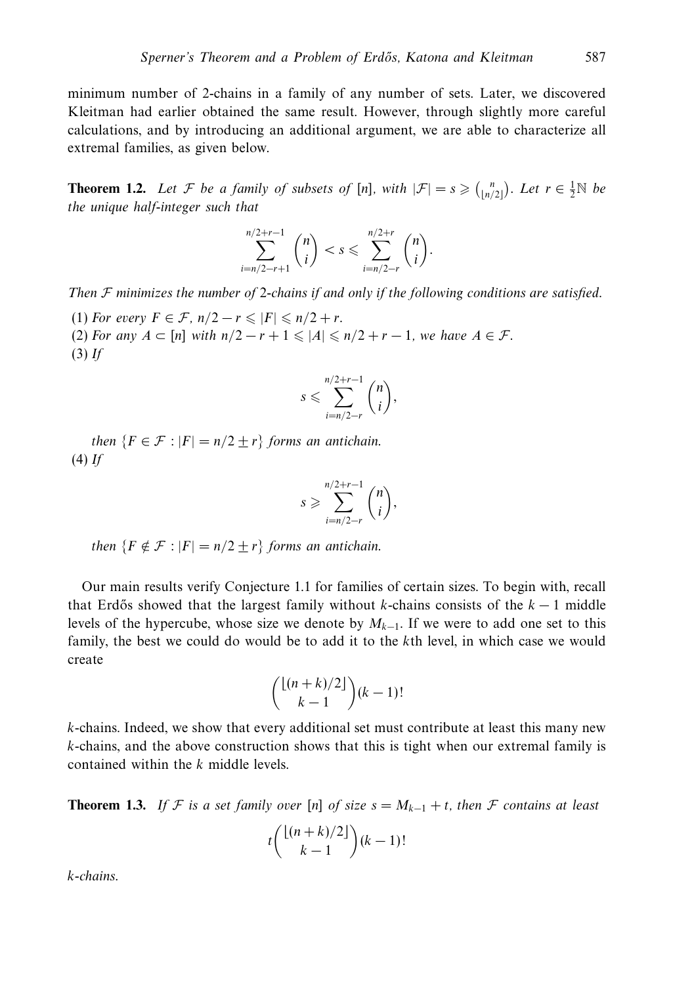minimum number of 2-chains in a family of any number of sets. Later, we discovered Kleitman had earlier obtained the same result. However, through slightly more careful calculations, and by introducing an additional argument, we are able to characterize all extremal families, as given below.

**Theorem 1.2.** Let *F* be a family of subsets of  $[n]$ , with  $|\mathcal{F}| = s \geq {n \choose \lfloor n/2 \rfloor}$ . Let  $r \in \frac{1}{2} \mathbb{N}$  be the unique half-integer such that

$$
\sum_{i=n/2-r+1}^{n/2+r-1} \binom{n}{i} < s \leqslant \sum_{i=n/2-r}^{n/2+r} \binom{n}{i}.
$$

Then  $F$  minimizes the number of 2-chains if and only if the following conditions are satisfied.

- (1) For every  $F \in \mathcal{F}$ ,  $n/2 r \leq |F| \leq n/2 + r$ .
- (2) For any  $A \subset [n]$  with  $n/2 r + 1 \le |A| \le n/2 + r 1$ , we have  $A \in \mathcal{F}$ .  $(3)$  If

$$
s \leqslant \sum_{i=n/2-r}^{n/2+r-1} \binom{n}{i},
$$

then  ${F \in \mathcal{F} : |F| = n/2 + r}$  forms an antichain.  $(4)$  If

$$
s \geqslant \sum_{i=n/2-r}^{n/2+r-1} \binom{n}{i},
$$

then  ${F \notin \mathcal{F} : |F| = n/2 + r}$  forms an antichain.

Our main results verify Conjecture 1.1 for families of certain sizes. To begin with, recall that Erdős showed that the largest family without *k*-chains consists of the  $k-1$  middle levels of the hypercube, whose size we denote by  $M_{k-1}$ . If we were to add one set to this family, the best we could do would be to add it to the *k*th level, in which case we would create

$$
\binom{\lfloor (n+k)/2 \rfloor}{k-1} (k-1)!
$$

*k*-chains. Indeed, we show that every additional set must contribute at least this many new *k*-chains, and the above construction shows that this is tight when our extremal family is contained within the *k* middle levels.

**Theorem 1.3.** If F is a set family over [*n*] of size  $s = M_{k-1} + t$ , then F contains at least

$$
t\binom{\lfloor (n+k)/2 \rfloor}{k-1}(k-1)!
$$

*k*-chains.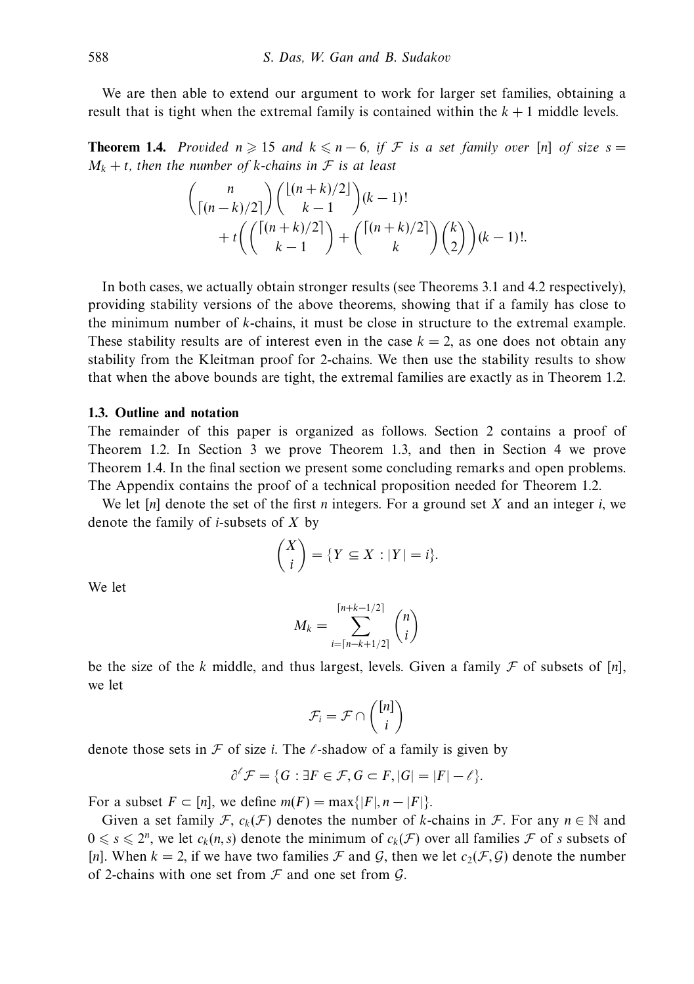We are then able to extend our argument to work for larger set families, obtaining a result that is tight when the extremal family is contained within the  $k + 1$  middle levels.

**Theorem 1.4.** Provided  $n \geq 15$  and  $k \leq n-6$ , if  $\mathcal F$  is a set family over [n] of size  $s =$  $M_k + t$ , then the number of *k*-chains in *F* is at least

$$
\binom{n}{\lceil (n-k)/2 \rceil} \binom{\lfloor (n+k)/2 \rfloor}{k-1} (k-1)!
$$
  
+ 
$$
t \left( \binom{\lceil (n+k)/2 \rceil}{k-1} + \binom{\lceil (n+k)/2 \rceil}{k} \binom{k}{2} (k-1)!
$$

In both cases, we actually obtain stronger results (see Theorems 3.1 and 4.2 respectively), providing stability versions of the above theorems, showing that if a family has close to the minimum number of *k*-chains, it must be close in structure to the extremal example. These stability results are of interest even in the case  $k = 2$ , as one does not obtain any stability from the Kleitman proof for 2-chains. We then use the stability results to show that when the above bounds are tight, the extremal families are exactly as in Theorem 1.2.

#### **1.3. Outline and notation**

The remainder of this paper is organized as follows. Section 2 contains a proof of Theorem 1.2. In Section 3 we prove Theorem 1.3, and then in Section 4 we prove Theorem 1.4. In the final section we present some concluding remarks and open problems. The Appendix contains the proof of a technical proposition needed for Theorem 1.2.

We let [*n*] denote the set of the first *n* integers. For a ground set *X* and an integer *i*, we denote the family of *i*-subsets of *X* by

$$
\binom{X}{i} = \{ Y \subseteq X : |Y| = i \}.
$$

We let

$$
M_k = \sum_{i=\lceil n-k+1/2 \rceil}^{\lceil n+k-1/2 \rceil} \binom{n}{i}
$$

be the size of the *k* middle, and thus largest, levels. Given a family  $F$  of subsets of [n], we let

$$
\mathcal{F}_i = \mathcal{F} \cap \binom{[n]}{i}
$$

denote those sets in  $F$  of size *i*. The  $\ell$ -shadow of a family is given by

$$
\partial^{\ell} \mathcal{F} = \{ G : \exists F \in \mathcal{F}, G \subset F, |G| = |F| - \ell \}.
$$

For a subset  $F \subset [n]$ , we define  $m(F) = \max\{|F|, n - |F|\}$ .

Given a set family  $\mathcal{F}$ ,  $c_k(\mathcal{F})$  denotes the number of *k*-chains in  $\mathcal{F}$ . For any  $n \in \mathbb{N}$  and  $0 \le s \le 2^n$ , we let  $c_k(n, s)$  denote the minimum of  $c_k(\mathcal{F})$  over all families  $\mathcal F$  of *s* subsets of [*n*]. When  $k = 2$ , if we have two families  $\mathcal F$  and  $\mathcal G$ , then we let  $c_2(\mathcal F, \mathcal G)$  denote the number of 2-chains with one set from  $\mathcal F$  and one set from  $\mathcal G$ .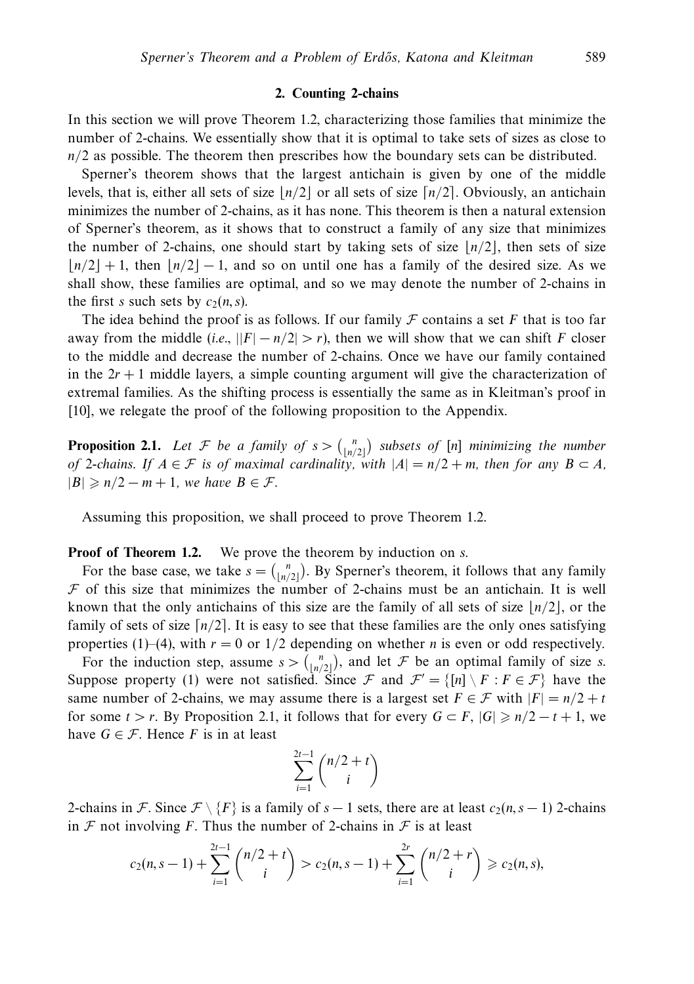#### **2. Counting 2-chains**

In this section we will prove Theorem 1.2, characterizing those families that minimize the number of 2-chains. We essentially show that it is optimal to take sets of sizes as close to *n/*2 as possible. The theorem then prescribes how the boundary sets can be distributed.

Sperner's theorem shows that the largest antichain is given by one of the middle levels, that is, either all sets of size  $n/2$  or all sets of size  $n/2$ . Obviously, an antichain minimizes the number of 2-chains, as it has none. This theorem is then a natural extension of Sperner's theorem, as it shows that to construct a family of any size that minimizes the number of 2-chains, one should start by taking sets of size  $n/2$ , then sets of size  $n/2 + 1$ , then  $n/2 - 1$ , and so on until one has a family of the desired size. As we shall show, these families are optimal, and so we may denote the number of 2-chains in the first *s* such sets by  $c_2(n, s)$ .

The idea behind the proof is as follows. If our family  $\mathcal F$  contains a set  $F$  that is too far away from the middle (i.e.,  $||F| - n/2| > r$ ), then we will show that we can shift *F* closer to the middle and decrease the number of 2-chains. Once we have our family contained in the  $2r + 1$  middle layers, a simple counting argument will give the characterization of extremal families. As the shifting process is essentially the same as in Kleitman's proof in [10], we relegate the proof of the following proposition to the Appendix.

**Proposition 2.1.** Let F be a family of  $s > {n \choose \lfloor n/2 \rfloor}$  subsets of  $[n]$  minimizing the number of 2-chains. If  $A \in \mathcal{F}$  is of maximal cardinality, with  $|A| = n/2 + m$ , then for any  $B \subset A$ ,  $|B| \geqslant n/2 - m + 1$ , we have  $B \in \mathcal{F}$ .

Assuming this proposition, we shall proceed to prove Theorem 1.2.

#### **Proof of Theorem 1.2.** We prove the theorem by induction on *s*.

For the base case, we take  $s = \binom{n}{\lfloor n/2 \rfloor}$ . By Sperner's theorem, it follows that any family  $F$  of this size that minimizes the number of 2-chains must be an antichain. It is well known that the only antichains of this size are the family of all sets of size  $n/2$ , or the family of sets of size  $\lceil n/2 \rceil$ . It is easy to see that these families are the only ones satisfying properties (1)–(4), with  $r = 0$  or  $1/2$  depending on whether *n* is even or odd respectively.

For the induction step, assume  $s > \binom{n}{\lfloor n/2 \rfloor}$ , and let F be an optimal family of size *s*. Suppose property (1) were not satisfied. Since  $\mathcal{F}$  and  $\mathcal{F}' = \{[n] \setminus F : F \in \mathcal{F}\}\$  have the same number of 2-chains, we may assume there is a largest set  $F \in \mathcal{F}$  with  $|F| = n/2 + t$ for some  $t > r$ . By Proposition 2.1, it follows that for every  $G \subset F$ ,  $|G| \geq n/2 - t + 1$ , we have  $G \in \mathcal{F}$ . Hence *F* is in at least

$$
\sum_{i=1}^{2t-1} \binom{n/2+t}{i}
$$

2-chains in F. Since  $\mathcal{F} \setminus \{F\}$  is a family of  $s - 1$  sets, there are at least  $c_2(n, s - 1)$  2-chains in  $F$  not involving F. Thus the number of 2-chains in  $F$  is at least

$$
c_2(n,s-1) + \sum_{i=1}^{2t-1} \binom{n/2+t}{i} > c_2(n,s-1) + \sum_{i=1}^{2r} \binom{n/2+r}{i} \geqslant c_2(n,s),
$$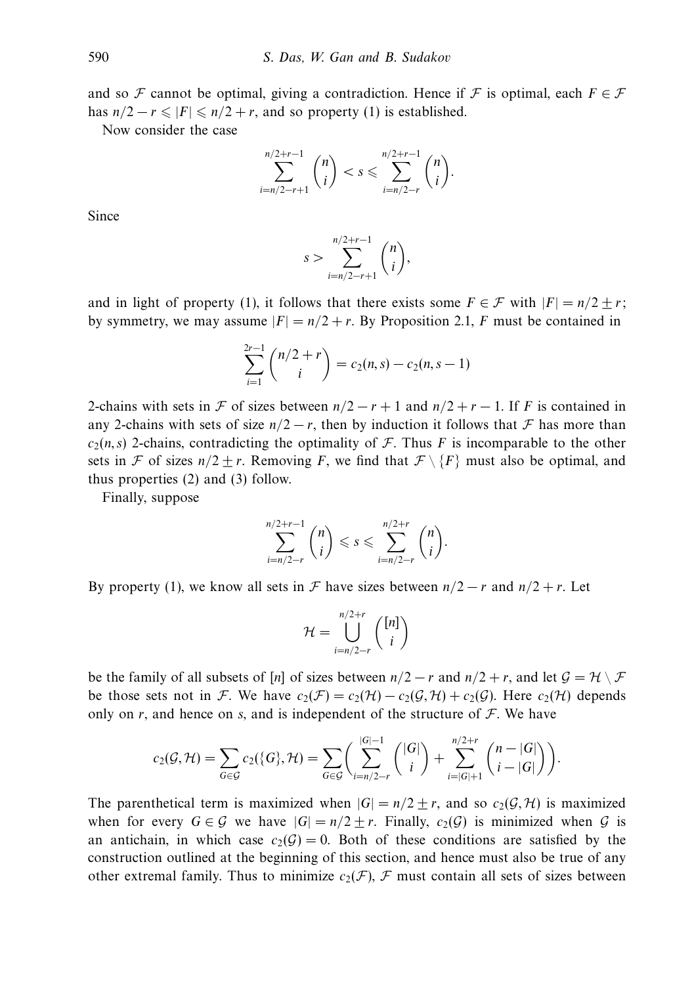and so F cannot be optimal, giving a contradiction. Hence if F is optimal, each  $F \in \mathcal{F}$ has  $n/2 - r \leq |F| \leq n/2 + r$ , and so property (1) is established.

Now consider the case

$$
\sum_{i=n/2-r+1}^{n/2+r-1} \binom{n}{i} < s \leqslant \sum_{i=n/2-r}^{n/2+r-1} \binom{n}{i}.
$$

Since

$$
s > \sum_{i=n/2-r+1}^{n/2+r-1} {n \choose i},
$$

and in light of property (1), it follows that there exists some  $F \in \mathcal{F}$  with  $|F| = n/2 \pm r$ ; by symmetry, we may assume  $|F| = n/2 + r$ . By Proposition 2.1, *F* must be contained in

$$
\sum_{i=1}^{2r-1} {n/2 + r \choose i} = c_2(n, s) - c_2(n, s - 1)
$$

2-chains with sets in F of sizes between  $n/2 - r + 1$  and  $n/2 + r - 1$ . If F is contained in any 2-chains with sets of size  $n/2 - r$ , then by induction it follows that  $\mathcal F$  has more than  $c_2(n, s)$  2-chains, contradicting the optimality of  $\mathcal F$ . Thus *F* is incomparable to the other sets in F of sizes  $n/2 \pm r$ . Removing F, we find that  $\mathcal{F} \setminus \{F\}$  must also be optimal, and thus properties (2) and (3) follow.

Finally, suppose

$$
\sum_{i=n/2-r}^{n/2+r-1} \binom{n}{i} \leqslant s \leqslant \sum_{i=n/2-r}^{n/2+r} \binom{n}{i}.
$$

By property (1), we know all sets in F have sizes between  $n/2 - r$  and  $n/2 + r$ . Let

$$
\mathcal{H} = \bigcup_{i=n/2-r}^{n/2+r} \binom{[n]}{i}
$$

be the family of all subsets of [*n*] of sizes between  $n/2 - r$  and  $n/2 + r$ , and let  $\mathcal{G} = \mathcal{H} \setminus \mathcal{F}$ be those sets not in F. We have  $c_2(F) = c_2(H) - c_2(G, H) + c_2(G)$ . Here  $c_2(H)$  depends only on  $r$ , and hence on  $s$ , and is independent of the structure of  $\mathcal{F}$ . We have

$$
c_2(\mathcal{G}, \mathcal{H}) = \sum_{G \in \mathcal{G}} c_2(\{G\}, \mathcal{H}) = \sum_{G \in \mathcal{G}} \left( \sum_{i=n/2-r}^{|G|-1} { |G| \choose i} + \sum_{i=|G|+1}^{n/2+r} {n-|G| \choose i-|G|} \right).
$$

The parenthetical term is maximized when  $|G| = n/2 + r$ , and so  $c_2(G, H)$  is maximized when for every  $G \in \mathcal{G}$  we have  $|G| = n/2 \pm r$ . Finally,  $c_2(\mathcal{G})$  is minimized when  $\mathcal{G}$  is an antichain, in which case  $c_2(\mathcal{G}) = 0$ . Both of these conditions are satisfied by the construction outlined at the beginning of this section, and hence must also be true of any other extremal family. Thus to minimize  $c_2(\mathcal{F})$ ,  $\mathcal F$  must contain all sets of sizes between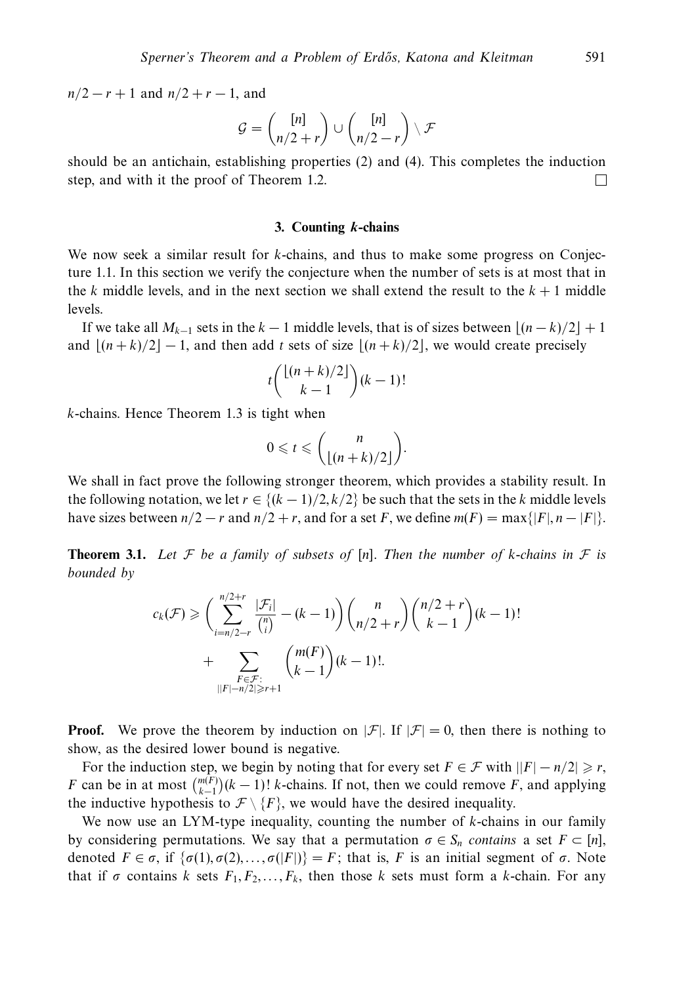*n*/2 − *r* + 1 and *n*/2 + *r* − 1, and

$$
\mathcal{G} = \begin{pmatrix} [n] \\ n/2 + r \end{pmatrix} \cup \begin{pmatrix} [n] \\ n/2 - r \end{pmatrix} \setminus \mathcal{F}
$$

should be an antichain, establishing properties (2) and (4). This completes the induction step, and with it the proof of Theorem 1.2. П

#### **3. Counting** *k***-chains**

We now seek a similar result for *k*-chains, and thus to make some progress on Conjecture 1.1. In this section we verify the conjecture when the number of sets is at most that in the  $k$  middle levels, and in the next section we shall extend the result to the  $k + 1$  middle levels.

If we take all  $M_{k-1}$  sets in the  $k-1$  middle levels, that is of sizes between  $\lfloor (n-k)/2 \rfloor + 1$ and  $|(n+k)/2| - 1$ , and then add t sets of size  $|(n+k)/2|$ , we would create precisely

$$
t\binom{\lfloor (n+k)/2 \rfloor}{k-1}(k-1)!
$$

*k*-chains. Hence Theorem 1.3 is tight when

$$
0 \leqslant t \leqslant {n \choose \lfloor (n+k)/2 \rfloor}.
$$

We shall in fact prove the following stronger theorem, which provides a stability result. In the following notation, we let  $r \in \{(k-1)/2, k/2\}$  be such that the sets in the *k* middle levels have sizes between  $n/2 - r$  and  $n/2 + r$ , and for a set *F*, we define  $m(F) = \max\{|F|, n - |F|\}$ .

**Theorem 3.1.** Let F be a family of subsets of [n]. Then the number of *k*-chains in F is bounded by

$$
c_k(\mathcal{F}) \geq \left(\sum_{i=n/2-r}^{n/2+r} \frac{|\mathcal{F}_i|}{\binom{n}{i}} - (k-1)\right) \binom{n}{n/2+r} \binom{n/2+r}{k-1} (k-1)!
$$
  
+ 
$$
\sum_{\substack{F \in \mathcal{F}:\\|F| - n/2| \geq r+1}} \binom{m(F)}{k-1} (k-1)!
$$

**Proof.** We prove the theorem by induction on  $|\mathcal{F}|$ . If  $|\mathcal{F}| = 0$ , then there is nothing to show, as the desired lower bound is negative.

For the induction step, we begin by noting that for every set  $F \in \mathcal{F}$  with  $||F| - n/2| \ge r$ , *F* can be in at most  $\binom{m(F)}{k-1}$  (*k* − 1)! *k*-chains. If not, then we could remove *F*, and applying the inductive hypothesis to  $\mathcal{F} \setminus \{F\}$ , we would have the desired inequality.

We now use an LYM-type inequality, counting the number of *k*-chains in our family by considering permutations. We say that a permutation *σ* ∈ *S<sub>n</sub>* contains a set *F* ⊂ [*n*], denoted  $F \in \sigma$ , if  $\{\sigma(1), \sigma(2), \ldots, \sigma(|F|)\} = F$ ; that is, *F* is an initial segment of  $\sigma$ . Note that if  $\sigma$  contains *k* sets  $F_1, F_2, \ldots, F_k$ , then those *k* sets must form a *k*-chain. For any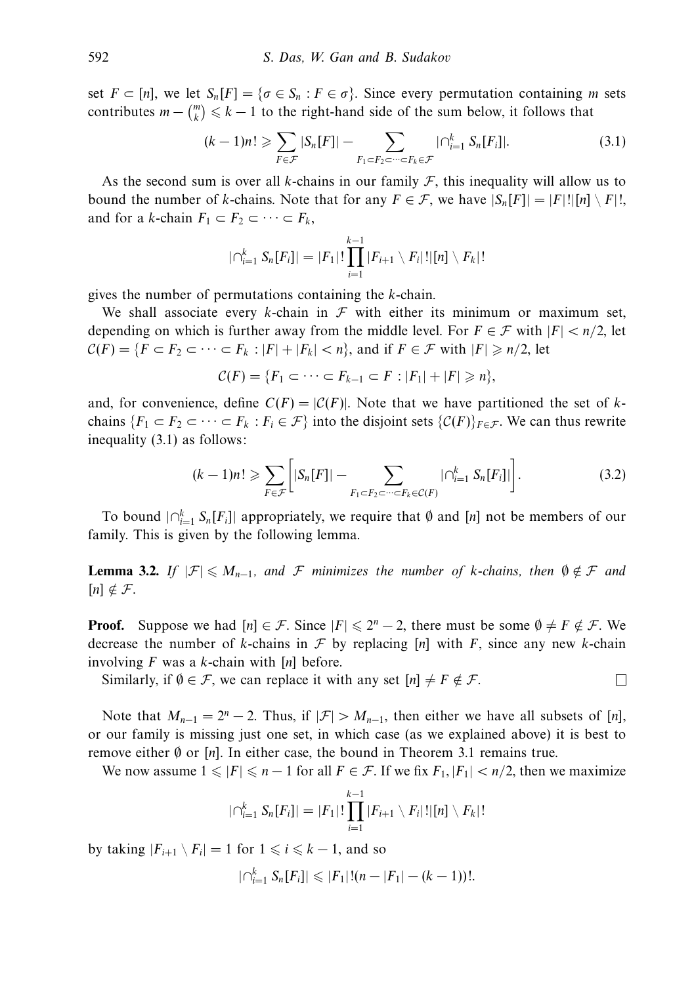set  $F \subset [n]$ , we let  $S_n[F] = \{\sigma \in S_n : F \in \sigma\}$ . Since every permutation containing *m* sets contributes  $m - {m \choose k} \leq k - 1$  to the right-hand side of the sum below, it follows that

$$
(k-1)n! \geqslant \sum_{F \in \mathcal{F}} |S_n[F]| - \sum_{F_1 \subset F_2 \subset \cdots \subset F_k \in \mathcal{F}} |\cap_{i=1}^k S_n[F_i]|.
$$
\n
$$
(3.1)
$$

As the second sum is over all *k*-chains in our family  $F$ , this inequality will allow us to bound the number of *k*-chains. Note that for any  $F \in \mathcal{F}$ , we have  $|S_n[F]| = |F|![n] \setminus F|!$ , and for a *k*-chain  $F_1 \subset F_2 \subset \cdots \subset F_k$ ,

$$
|\bigcap_{i=1}^k S_n[F_i]| = |F_1|! \prod_{i=1}^{k-1} |F_{i+1} \setminus F_i|! |[n] \setminus F_k|!
$$

gives the number of permutations containing the *k*-chain.

We shall associate every *k*-chain in  $\mathcal F$  with either its minimum or maximum set, depending on which is further away from the middle level. For  $F \in \mathcal{F}$  with  $|F| < n/2$ , let  $\mathcal{C}(F) = \{ F \subset F_2 \subset \cdots \subset F_k : |F| + |F_k| < n \}$ , and if  $F \in \mathcal{F}$  with  $|F| \geq n/2$ , let

$$
\mathcal{C}(F)=\{F_1\subset\cdots\subset F_{k-1}\subset F:|F_1|+|F|\geqslant n\},\
$$

and, for convenience, define  $C(F) = |C(F)|$ . Note that we have partitioned the set of *k*chains  ${F_1 \subset F_2 \subset \cdots \subset F_k : F_i \in \mathcal{F}}$  into the disjoint sets  ${C(F)}_{F \in \mathcal{F}}$ . We can thus rewrite inequality (3.1) as follows:

$$
(k-1)n! \geqslant \sum_{F \in \mathcal{F}} \bigg[ |S_n[F]| - \sum_{F_1 \subset F_2 \subset \cdots \subset F_k \in \mathcal{C}(F)} |\cap_{i=1}^k S_n[F_i]| \bigg]. \tag{3.2}
$$

 $\Box$ 

To bound  $|\bigcap_{i=1}^k S_n[F_i]|$  appropriately, we require that  $\emptyset$  and  $[n]$  not be members of our family. This is given by the following lemma.

**Lemma 3.2.** If  $|\mathcal{F}| \leq M_{n-1}$ , and F minimizes the number of *k*-chains, then  $\emptyset \notin \mathcal{F}$  and  $[n] \notin \mathcal{F}.$ 

**Proof.** Suppose we had  $[n] \in \mathcal{F}$ . Since  $|F| \leq 2^n - 2$ , there must be some  $\emptyset \neq F \notin \mathcal{F}$ . We decrease the number of *k*-chains in  $\mathcal F$  by replacing [*n*] with *F*, since any new *k*-chain involving *F* was a *k*-chain with [*n*] before.

Similarly, if  $\emptyset \in \mathcal{F}$ , we can replace it with any set  $[n] \neq F \notin \mathcal{F}$ .

Note that  $M_{n-1} = 2^n - 2$ . Thus, if  $|\mathcal{F}| > M_{n-1}$ , then either we have all subsets of [*n*], or our family is missing just one set, in which case (as we explained above) it is best to remove either  $\emptyset$  or [*n*]. In either case, the bound in Theorem 3.1 remains true.

We now assume  $1 \leq |F| \leq n - 1$  for all  $F \in \mathcal{F}$ . If we fix  $F_1, |F_1| < n/2$ , then we maximize

$$
|\bigcap_{i=1}^k S_n[F_i]| = |F_1|! \prod_{i=1}^{k-1} |F_{i+1} \setminus F_i|! |[n] \setminus F_k|!
$$

by taking  $|F_{i+1} \setminus F_i| = 1$  for  $1 \le i \le k - 1$ , and so

$$
|\bigcap_{i=1}^k S_n[F_i]| \leqslant |F_1|!(n-|F_1|-(k-1))!.
$$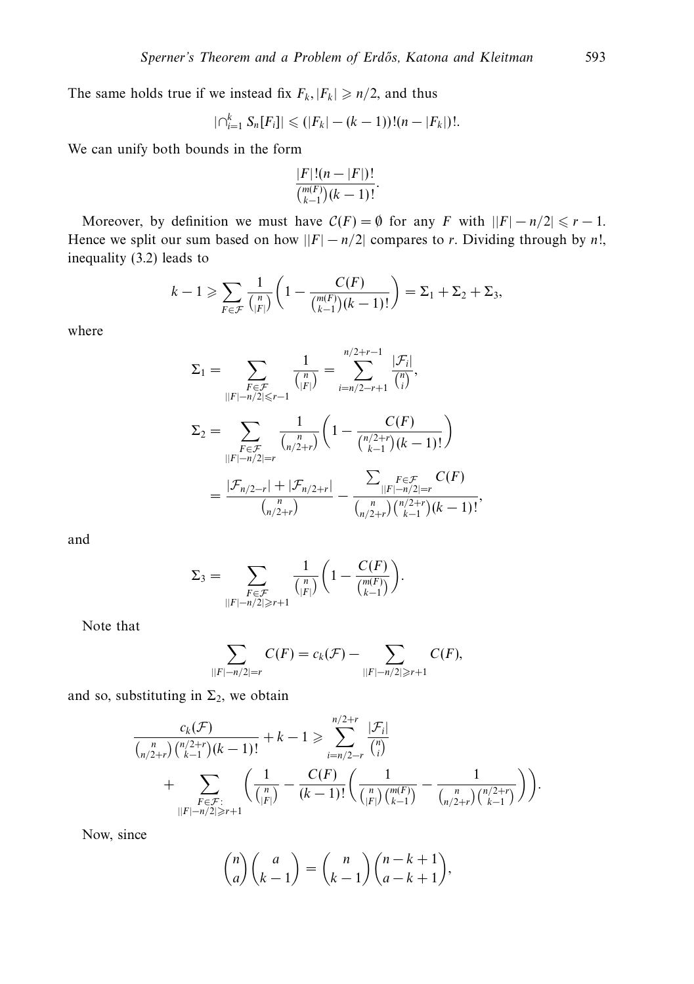The same holds true if we instead fix  $F_k$ ,  $|F_k| \ge n/2$ , and thus

$$
|\bigcap_{i=1}^k S_n[F_i]| \leq (|F_k| - (k-1))!(n-|F_k|)!
$$

We can unify both bounds in the form

$$
\frac{|F|!(n-|F|)!}{\binom{m(F)}{k-1}(k-1)!}.
$$

Moreover, by definition we must have  $C(F) = \emptyset$  for any *F* with  $||F| - \frac{n}{2}| \le r - 1$ . Hence we split our sum based on how  $||F| - n/2|$  compares to *r*. Dividing through by *n*!, inequality (3.2) leads to

$$
k-1 \geqslant \sum_{F \in \mathcal{F}} \frac{1}{\binom{n}{|F|}} \left(1 - \frac{C(F)}{\binom{m(F)}{k-1}(k-1)!}\right) = \Sigma_1 + \Sigma_2 + \Sigma_3,
$$

where

$$
\Sigma_{1} = \sum_{\substack{F \in \mathcal{F} \\ ||F|-n/2| \le r-1}} \frac{1}{\binom{n}{|F|}} = \sum_{i=n/2-r+1}^{n/2+r-1} \frac{|\mathcal{F}_{i}|}{\binom{n}{i}},
$$
\n
$$
\Sigma_{2} = \sum_{\substack{F \in \mathcal{F} \\ ||F|-n/2| = r}} \frac{1}{\binom{n}{n/2+r}} \left(1 - \frac{C(F)}{\binom{n/2+r}{k-1}(k-1)!}\right)
$$
\n
$$
= \frac{|\mathcal{F}_{n/2-r}| + |\mathcal{F}_{n/2+r}|}{\binom{n}{n/2+r}} - \frac{\sum_{\substack{|F| = n/2| = r \\ ||F|-n/2| = r}} C(F)}{\binom{n}{n/2+r}(k-1)!},
$$

and

$$
\Sigma_3 = \sum_{\substack{F \in \mathcal{F} \\ ||F|-n/2| \ge r+1}} \frac{1}{\binom{n}{|F|}} \left(1 - \frac{C(F)}{\binom{m(F)}{k-1}}\right).
$$

Note that

$$
\sum_{||F|-n/2|=r} C(F) = c_k(\mathcal{F}) - \sum_{||F|-n/2| \geq r+1} C(F),
$$

and so, substituting in  $\Sigma_2$ , we obtain

$$
\frac{c_k(\mathcal{F})}{\binom{n}{n/2+r}\binom{n/2+r}{k-1}(k-1)!} + k - 1 \ge \sum_{i=n/2-r}^{n/2+r} \frac{|\mathcal{F}_i|}{\binom{n}{i}} + \sum_{\substack{F \in \mathcal{F}:\\|F|-n/2| \ge r+1}} \left(\frac{1}{\binom{n}{|F|}} - \frac{C(F)}{(k-1)!} \left(\frac{1}{\binom{n}{|F|}\binom{m(F)}{k-1}} - \frac{1}{\binom{n}{n/2+r}\binom{n/2+r}{k-1}}\right)\right).
$$

Now, since

$$
\binom{n}{a}\binom{a}{k-1} = \binom{n}{k-1}\binom{n-k+1}{a-k+1},
$$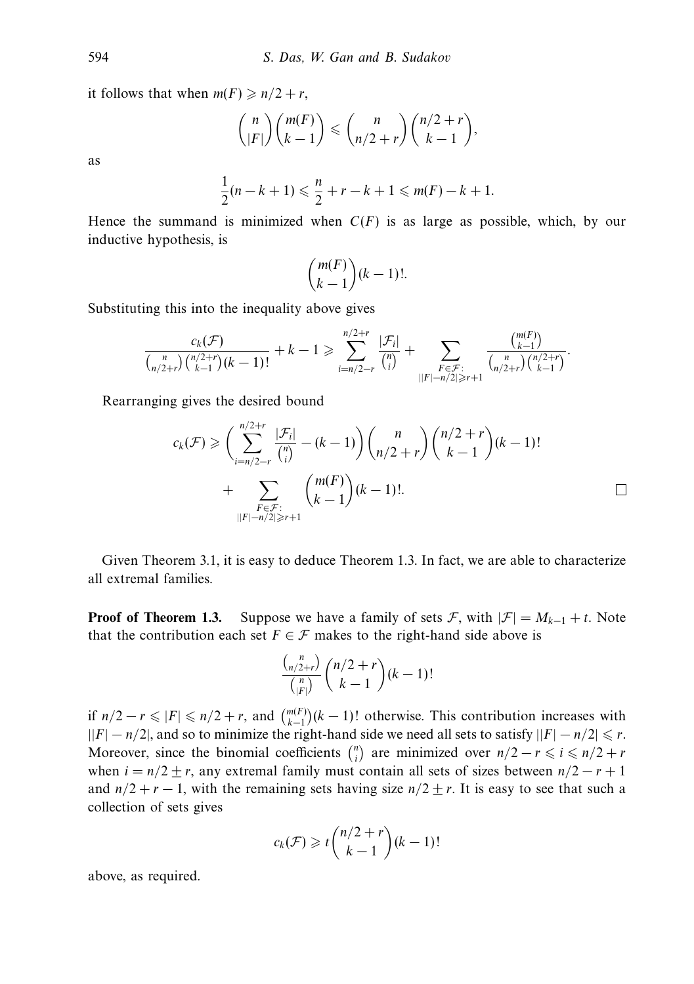it follows that when  $m(F) \geqslant n/2 + r$ ,

$$
\binom{n}{|F|}\binom{m(F)}{k-1} \leqslant \binom{n}{n/2+r}\binom{n/2+r}{k-1},
$$

as

$$
\frac{1}{2}(n-k+1) \leq \frac{n}{2} + r - k + 1 \leq m(F) - k + 1.
$$

Hence the summand is minimized when  $C(F)$  is as large as possible, which, by our inductive hypothesis, is

$$
\binom{m(F)}{k-1}(k-1)!
$$

Substituting this into the inequality above gives

$$
\frac{c_k(\mathcal{F})}{\binom{n}{n/2+r}\binom{n/2+r}{k-1}(k-1)!}+k-1\geqslant \sum_{i=n/2-r}^{n/2+r}\frac{|\mathcal{F}_i|}{\binom{n}{i}}+\sum_{\substack{F\in\mathcal{F}:\\|F|-n/2|\geqslant r+1}}\frac{\binom{m(F)}{k-1}}{\binom{n}{n/2+r}\binom{n/2+r}{k-1}}.
$$

Rearranging gives the desired bound

$$
c_k(\mathcal{F}) \geq \left(\sum_{i=n/2-r}^{n/2+r} \frac{|\mathcal{F}_i|}{\binom{n}{i}} - (k-1)\right) \binom{n}{n/2+r} \binom{n/2+r}{k-1} (k-1)! + \sum_{\substack{F \in \mathcal{F}:\\ ||F|-n/2| \geq r+1}} \binom{m(F)}{k-1} (k-1)!.
$$

Given Theorem 3.1, it is easy to deduce Theorem 1.3. In fact, we are able to characterize all extremal families.

**Proof of Theorem 1.3.** Suppose we have a family of sets  $\mathcal{F}$ , with  $|\mathcal{F}| = M_{k-1} + t$ . Note that the contribution each set  $F \in \mathcal{F}$  makes to the right-hand side above is

$$
\frac{\binom{n}{n/2+r}}{\binom{n}{|F|}} \binom{n/2+r}{k-1} (k-1)!
$$

if  $n/2 - r \le |F| \le n/2 + r$ , and  $\binom{m(F)}{k-1}(k-1)!$  otherwise. This contribution increases with  $||F| - n/2$ , and so to minimize the right-hand side we need all sets to satisfy  $||F| - n/2| \le r$ . Moreover, since the binomial coefficients  $\binom{n}{i}$  are minimized over  $n/2 - r \leq i \leq n/2 + r$ when  $i = n/2 \pm r$ , any extremal family must contain all sets of sizes between  $n/2 - r + 1$ and  $n/2 + r - 1$ , with the remaining sets having size  $n/2 + r$ . It is easy to see that such a collection of sets gives

$$
c_k(\mathcal{F}) \geq t \binom{n/2+r}{k-1} (k-1)!
$$

above, as required.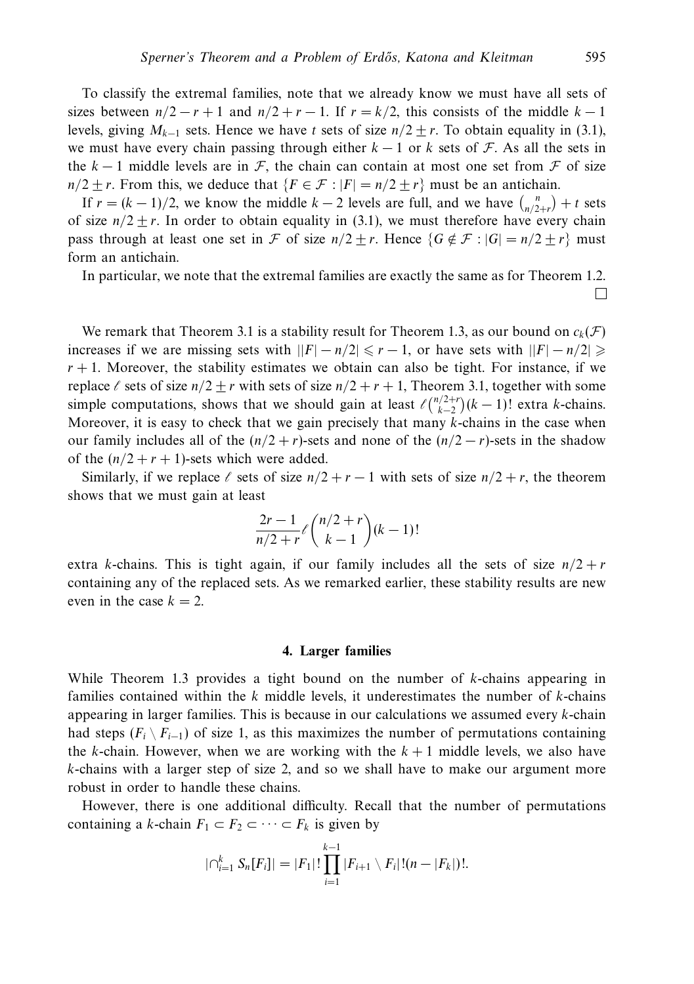To classify the extremal families, note that we already know we must have all sets of sizes between  $n/2 - r + 1$  and  $n/2 + r - 1$ . If  $r = k/2$ , this consists of the middle  $k - 1$ levels, giving  $M_{k-1}$  sets. Hence we have t sets of size  $n/2 \pm r$ . To obtain equality in (3.1), we must have every chain passing through either  $k - 1$  or  $k$  sets of  $\mathcal F$ . As all the sets in the  $k-1$  middle levels are in F, the chain can contain at most one set from F of size  $n/2 \pm r$ . From this, we deduce that  $\{F \in \mathcal{F} : |F| = n/2 \pm r\}$  must be an antichain.

If  $r = (k-1)/2$ , we know the middle  $k-2$  levels are full, and we have  $\binom{n}{n/2+r} + t$  sets of size  $n/2 \pm r$ . In order to obtain equality in (3.1), we must therefore have every chain pass through at least one set in F of size  $n/2 + r$ . Hence  $\{G \notin \mathcal{F} : |G| = n/2 + r\}$  must form an antichain.

In particular, we note that the extremal families are exactly the same as for Theorem 1.2.  $\Box$ 

We remark that Theorem 3.1 is a stability result for Theorem 1.3, as our bound on  $c_k(\mathcal{F})$ increases if we are missing sets with  $||F| - n/2| ≤ r - 1$ , or have sets with  $||F| - n/2| ≥$  $r + 1$ . Moreover, the stability estimates we obtain can also be tight. For instance, if we replace *l* sets of size  $n/2 \pm r$  with sets of size  $n/2 + r + 1$ , Theorem 3.1, together with some simple computations, shows that we should gain at least  $\ell \binom{n/2+r}{k-2}(k-1)!$  extra *k*-chains. Moreover, it is easy to check that we gain precisely that many *k*-chains in the case when our family includes all of the  $(n/2 + r)$ -sets and none of the  $(n/2 - r)$ -sets in the shadow of the  $(n/2 + r + 1)$ -sets which were added.

Similarly, if we replace  $\ell$  sets of size  $n/2 + r - 1$  with sets of size  $n/2 + r$ , the theorem shows that we must gain at least

$$
\frac{2r-1}{n/2+r} \ell \binom{n/2+r}{k-1} (k-1)!
$$

extra *k*-chains. This is tight again, if our family includes all the sets of size  $n/2 + r$ containing any of the replaced sets. As we remarked earlier, these stability results are new even in the case  $k = 2$ .

#### **4. Larger families**

While Theorem 1.3 provides a tight bound on the number of *k*-chains appearing in families contained within the *k* middle levels, it underestimates the number of *k*-chains appearing in larger families. This is because in our calculations we assumed every *k*-chain had steps  $(F_i \nightharpoonup F_{i-1})$  of size 1, as this maximizes the number of permutations containing the *k*-chain. However, when we are working with the  $k+1$  middle levels, we also have *k*-chains with a larger step of size 2, and so we shall have to make our argument more robust in order to handle these chains.

However, there is one additional difficulty. Recall that the number of permutations containing a *k*-chain  $F_1 \subset F_2 \subset \cdots \subset F_k$  is given by

$$
|\bigcap_{i=1}^k S_n[F_i]| = |F_1|! \prod_{i=1}^{k-1} |F_{i+1} \setminus F_i|!(n-|F_k|)!.
$$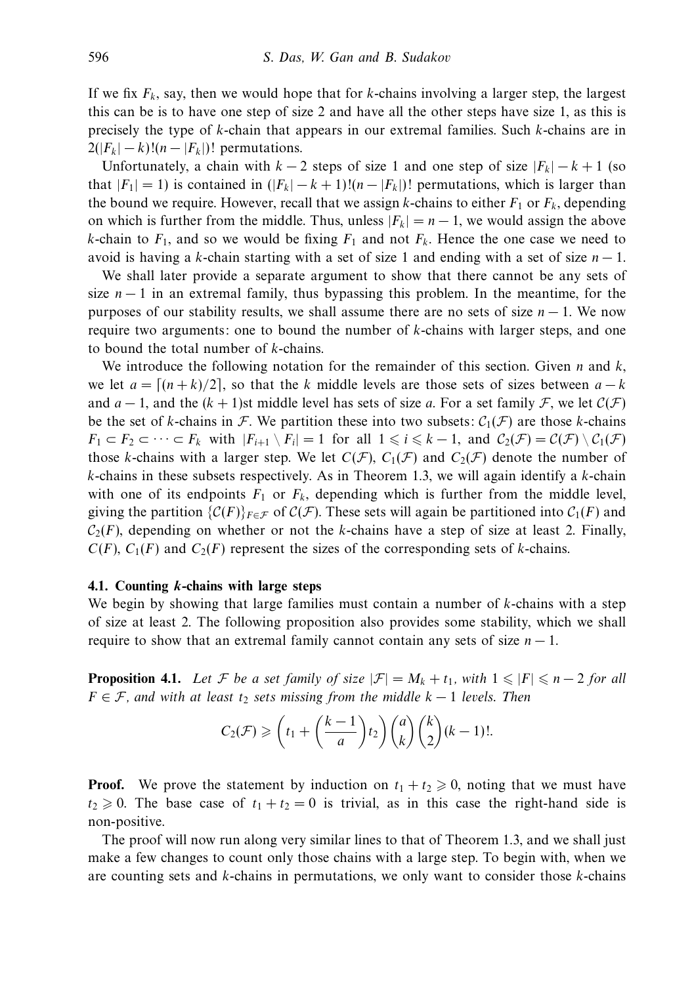If we fix *Fk*, say, then we would hope that for *k*-chains involving a larger step, the largest this can be is to have one step of size 2 and have all the other steps have size 1, as this is precisely the type of *k*-chain that appears in our extremal families. Such *k*-chains are in  $2(|F_k| - k)!(n - |F_k|)!$  permutations.

Unfortunately, a chain with  $k - 2$  steps of size 1 and one step of size  $|F_k| - k + 1$  (so that  $|F_1| = 1$ ) is contained in  $(|F_k| - k + 1)!(n - |F_k|)!$  permutations, which is larger than the bound we require. However, recall that we assign *k*-chains to either  $F_1$  or  $F_k$ , depending on which is further from the middle. Thus, unless  $|F_k| = n - 1$ , we would assign the above *k*-chain to  $F_1$ , and so we would be fixing  $F_1$  and not  $F_k$ . Hence the one case we need to avoid is having a *k*-chain starting with a set of size 1 and ending with a set of size  $n - 1$ .

We shall later provide a separate argument to show that there cannot be any sets of size  $n-1$  in an extremal family, thus bypassing this problem. In the meantime, for the purposes of our stability results, we shall assume there are no sets of size *n* − 1. We now require two arguments: one to bound the number of *k*-chains with larger steps, and one to bound the total number of *k*-chains.

We introduce the following notation for the remainder of this section. Given *n* and *k*, we let  $a = \lfloor (n+k)/2 \rfloor$ , so that the *k* middle levels are those sets of sizes between  $a - k$ and  $a-1$ , and the  $(k+1)$ st middle level has sets of size a. For a set family F, we let  $C(F)$ be the set of *k*-chains in F. We partition these into two subsets:  $C_1(\mathcal{F})$  are those *k*-chains  $F_1 \subset F_2 \subset \cdots \subset F_k$  with  $|F_{i+1} \setminus F_i| = 1$  for all  $1 \leq i \leq k-1$ , and  $C_2(\mathcal{F}) = C(\mathcal{F}) \setminus C_1(\mathcal{F})$ those *k*-chains with a larger step. We let  $C(F)$ ,  $C_1(F)$  and  $C_2(F)$  denote the number of *k*-chains in these subsets respectively. As in Theorem 1.3, we will again identify a *k*-chain with one of its endpoints  $F_1$  or  $F_k$ , depending which is further from the middle level, giving the partition  $\{C(F)\}_{F \in \mathcal{F}}$  of  $C(\mathcal{F})$ . These sets will again be partitioned into  $C_1(F)$  and  $C_2(F)$ , depending on whether or not the *k*-chains have a step of size at least 2. Finally,  $C(F)$ ,  $C_1(F)$  and  $C_2(F)$  represent the sizes of the corresponding sets of *k*-chains.

#### **4.1. Counting** *k***-chains with large steps**

We begin by showing that large families must contain a number of *k*-chains with a step of size at least 2. The following proposition also provides some stability, which we shall require to show that an extremal family cannot contain any sets of size  $n - 1$ .

**Proposition 4.1.** Let F be a set family of size  $|\mathcal{F}| = M_k + t_1$ , with  $1 \leq |F| \leq n - 2$  for all  $F \in \mathcal{F}$ , and with at least  $t_2$  sets missing from the middle  $k-1$  levels. Then

$$
C_2(\mathcal{F}) \geqslant \left(t_1 + \left(\frac{k-1}{a}\right)t_2\right) \binom{a}{k} \binom{k}{2} (k-1)!.
$$

**Proof.** We prove the statement by induction on  $t_1 + t_2 \ge 0$ , noting that we must have  $t_2 \ge 0$ . The base case of  $t_1 + t_2 = 0$  is trivial, as in this case the right-hand side is non-positive.

The proof will now run along very similar lines to that of Theorem 1.3, and we shall just make a few changes to count only those chains with a large step. To begin with, when we are counting sets and *k*-chains in permutations, we only want to consider those *k*-chains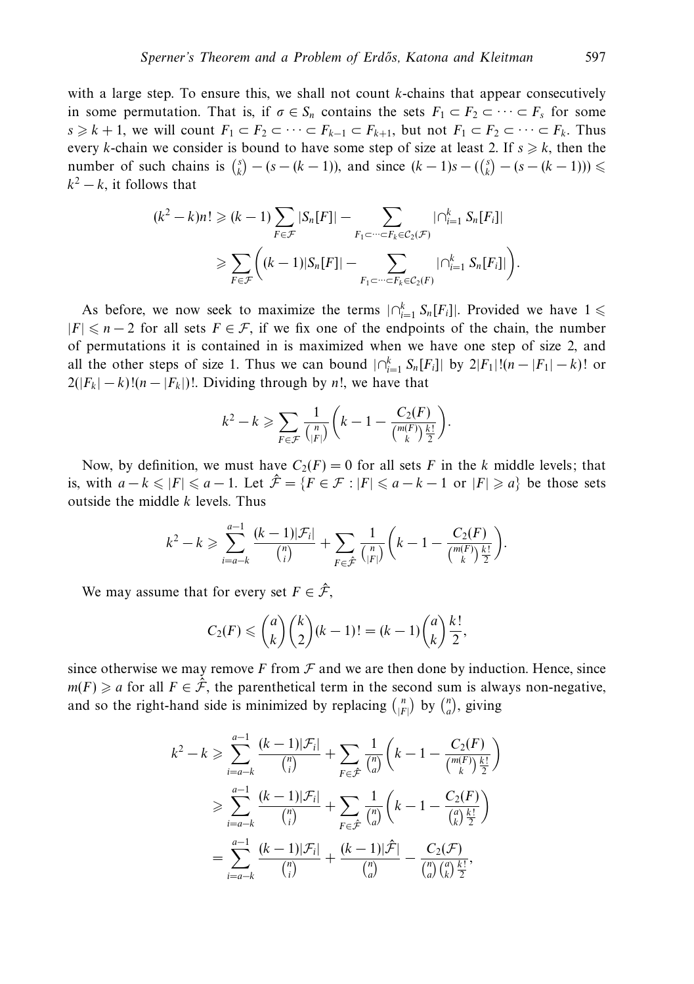with a large step. To ensure this, we shall not count *k*-chains that appear consecutively in some permutation. That is, if  $\sigma \in S_n$  contains the sets  $F_1 \subset F_2 \subset \cdots \subset F_s$  for some  $s \geq k+1$ , we will count  $F_1 \subset F_2 \subset \cdots \subset F_{k-1} \subset F_{k+1}$ , but not  $F_1 \subset F_2 \subset \cdots \subset F_k$ . Thus every *k*-chain we consider is bound to have some step of size at least 2. If  $s \geq k$ , then the number of such chains is  $\binom{s}{k}$  − (*s* − (*k* − 1)), and since  $(k - 1)s$  − ( $\binom{s}{k}$  − (*s* − (*k* − 1))) ≤  $k^2 - k$ , it follows that

$$
(k2 - k)n! \geq (k - 1) \sum_{F \in \mathcal{F}} |S_n[F]| - \sum_{F_1 \subset \cdots \subset F_k \in \mathcal{C}_2(\mathcal{F})} |\bigcap_{i=1}^k S_n[F_i]|
$$
  
\n
$$
\geq \sum_{F \in \mathcal{F}} \left( (k - 1)|S_n[F]| - \sum_{F_1 \subset \cdots \subset F_k \in \mathcal{C}_2(F)} |\bigcap_{i=1}^k S_n[F_i]| \right).
$$

As before, we now seek to maximize the terms  $|\bigcap_{i=1}^k S_n[F_i]|$ . Provided we have  $1 \leq$  $|F| \le n - 2$  for all sets  $F \in \mathcal{F}$ , if we fix one of the endpoints of the chain, the number of permutations it is contained in is maximized when we have one step of size 2, and all the other steps of size 1. Thus we can bound  $|\bigcap_{i=1}^{k} S_n[F_i]|$  by  $2|F_1|!(n-|F_1|-k)!$  or  $2(|F_k| - k)!(n - |F_k|)!$ . Dividing through by *n*!, we have that

$$
k^{2} - k \geqslant \sum_{F \in \mathcal{F}} \frac{1}{\binom{n}{|F|}} \left( k - 1 - \frac{C_{2}(F)}{\binom{m(F)}{k} \frac{k!}{2}} \right).
$$

Now, by definition, we must have  $C_2(F) = 0$  for all sets F in the k middle levels; that is, with  $a - k \leq |F| \leq a - 1$ . Let  $\hat{\mathcal{F}} = \{F \in \mathcal{F} : |F| \leq a - k - 1 \text{ or } |F| \geq a\}$  be those sets outside the middle *k* levels. Thus

$$
k^{2} - k \geqslant \sum_{i=a-k}^{a-1} \frac{(k-1)|\mathcal{F}_{i}|}{\binom{n}{i}} + \sum_{F \in \hat{\mathcal{F}}} \frac{1}{\binom{n}{|F|}} \left(k-1 - \frac{C_{2}(F)}{\binom{m(F)}{k} \frac{k!}{2}}\right).
$$

We may assume that for every set  $F \in \hat{\mathcal{F}}$ ,

$$
C_2(F) \leq {a \choose k} {k \choose 2} (k-1)! = (k-1) {a \choose k} \frac{k!}{2},
$$

since otherwise we may remove  $F$  from  $\mathcal F$  and we are then done by induction. Hence, since  $m(F) \geq a$  for all  $F \in \hat{\mathcal{F}}$ , the parenthetical term in the second sum is always non-negative, and so the right-hand side is minimized by replacing  $\binom{n}{|F|}$  by  $\binom{n}{a}$ , giving

$$
k^{2} - k \geq \sum_{i=a-k}^{a-1} \frac{(k-1)|\mathcal{F}_{i}|}{\binom{n}{i}} + \sum_{F \in \hat{\mathcal{F}}} \frac{1}{\binom{n}{a}} \left(k - 1 - \frac{C_{2}(F)}{\binom{m(F)}{\binom{k}{2}}} \right)
$$
  

$$
\geq \sum_{i=a-k}^{a-1} \frac{(k-1)|\mathcal{F}_{i}|}{\binom{n}{i}} + \sum_{F \in \hat{\mathcal{F}}} \frac{1}{\binom{n}{a}} \left(k - 1 - \frac{C_{2}(F)}{\binom{a}{k} \frac{k!}{2}} \right)
$$
  

$$
= \sum_{i=a-k}^{a-1} \frac{(k-1)|\mathcal{F}_{i}|}{\binom{n}{i}} + \frac{(k-1)|\hat{\mathcal{F}}|}{\binom{n}{a}} - \frac{C_{2}(\mathcal{F})}{\binom{n}{a} \binom{a}{k} \frac{k!}{2}},
$$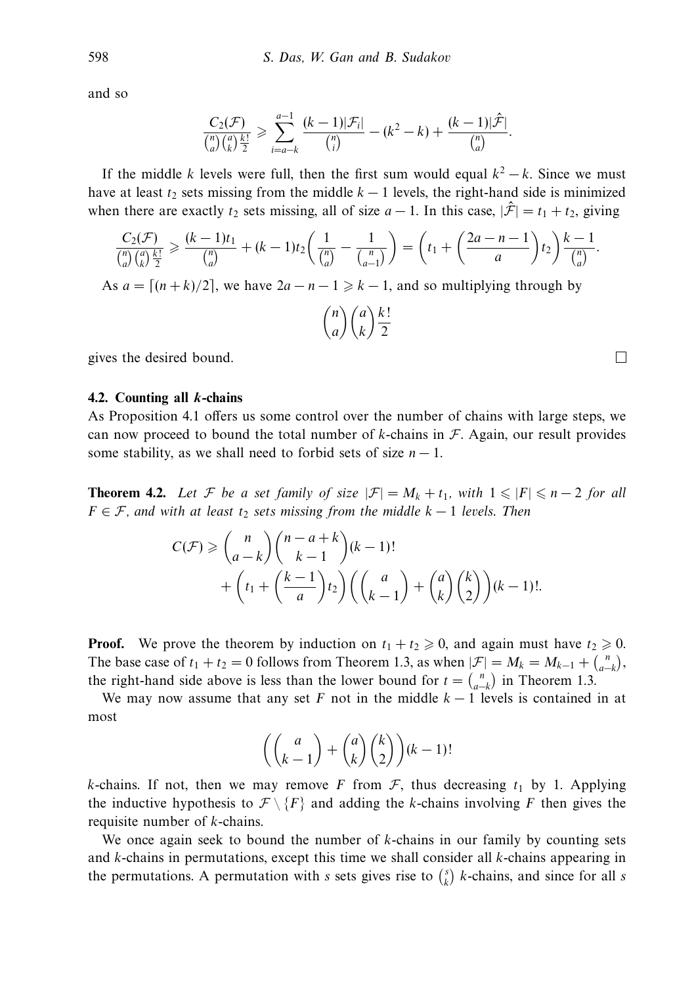and so

$$
\frac{C_2(\mathcal{F})}{\binom{n}{a}\binom{a}{k}\frac{k!}{2}} \geqslant \sum_{i=a-k}^{a-1} \frac{(k-1)|\mathcal{F}_i|}{\binom{n}{i}} - (k^2 - k) + \frac{(k-1)|\hat{\mathcal{F}}|}{\binom{n}{a}}.
$$

If the middle *k* levels were full, then the first sum would equal  $k^2 - k$ . Since we must have at least  $t_2$  sets missing from the middle  $k - 1$  levels, the right-hand side is minimized when there are exactly  $t_2$  sets missing, all of size  $a - 1$ . In this case,  $|\hat{\mathcal{F}}| = t_1 + t_2$ , giving

$$
\frac{C_2(\mathcal{F})}{\binom{n}{a}\binom{a}{k}\frac{k!}{2}} \ge \frac{(k-1)t_1}{\binom{n}{a}} + (k-1)t_2\left(\frac{1}{\binom{n}{a}} - \frac{1}{\binom{n}{a-1}}\right) = \left(t_1 + \left(\frac{2a-n-1}{a}\right)t_2\right)\frac{k-1}{\binom{n}{a}}.
$$

As  $a = |(n+k)/2|$ , we have  $2a - n - 1 \ge k - 1$ , and so multiplying through by

#### *n a a k k*! 2

gives the desired bound.

#### **4.2. Counting all** *k***-chains**

As Proposition 4.1 offers us some control over the number of chains with large steps, we can now proceed to bound the total number of  $k$ -chains in  $F$ . Again, our result provides some stability, as we shall need to forbid sets of size  $n - 1$ .

**Theorem 4.2.** Let F be a set family of size  $|\mathcal{F}| = M_k + t_1$ , with  $1 \leq |F| \leq n-2$  for all  $F \in \mathcal{F}$ , and with at least  $t_2$  sets missing from the middle  $k - 1$  levels. Then

$$
C(\mathcal{F}) \geq {n \choose a-k} {n-a+k \choose k-1} (k-1)! + {n \choose k} {k-1 \choose k-1} + {n \choose k} {k \choose 2} {k \choose k-1} + {n \choose k} {k \choose 2} (k-1)!
$$

**Proof.** We prove the theorem by induction on  $t_1 + t_2 \ge 0$ , and again must have  $t_2 \ge 0$ . The base case of  $t_1 + t_2 = 0$  follows from Theorem 1.3, as when  $|\mathcal{F}| = M_k = M_{k-1} + {n \choose a-k}$ . the right-hand side above is less than the lower bound for  $t = \binom{n}{a-k}$  in Theorem 1.3.

We may now assume that any set *F* not in the middle *k* − 1 levels is contained in at most

$$
\left( \binom{a}{k-1} + \binom{a}{k} \binom{k}{2} \right) (k-1)!
$$

*k*-chains. If not, then we may remove *F* from  $F$ , thus decreasing  $t_1$  by 1. Applying the inductive hypothesis to  $\mathcal{F} \setminus \{F\}$  and adding the *k*-chains involving *F* then gives the requisite number of *k*-chains.

We once again seek to bound the number of *k*-chains in our family by counting sets and *k*-chains in permutations, except this time we shall consider all *k*-chains appearing in the permutations. A permutation with *s* sets gives rise to  $\binom{s}{k}$  *k*-chains, and since for all *s* 

 $\Box$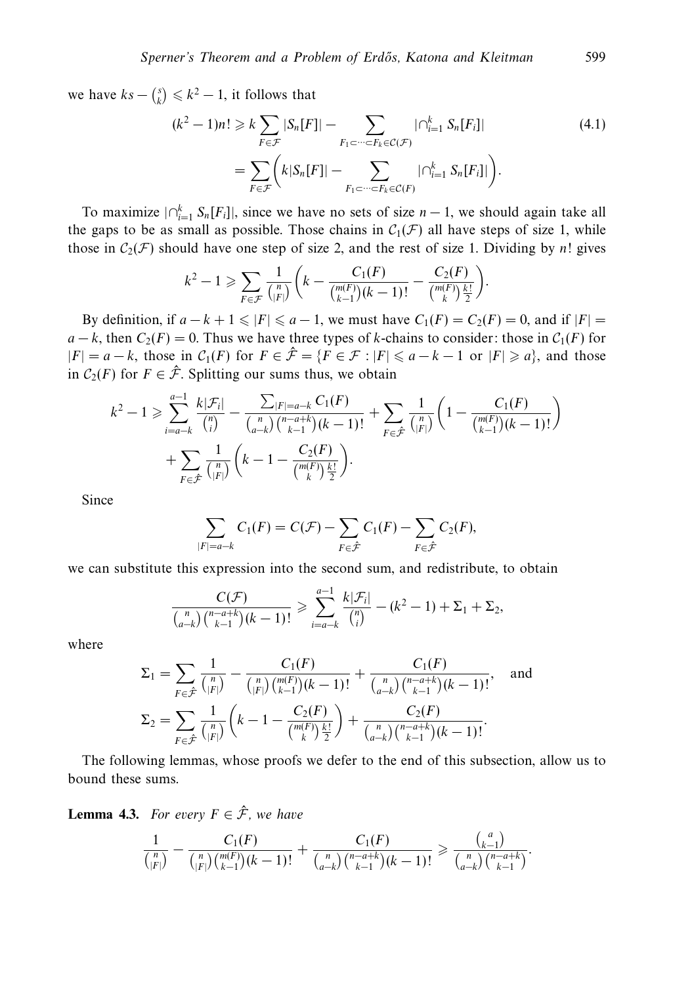we have  $ks - {s \choose k} \leq k^2 - 1$ , it follows that

$$
(k2 - 1)n! \ge k \sum_{F \in \mathcal{F}} |S_n[F]| - \sum_{F_1 \subset \cdots \subset F_k \in \mathcal{C}(\mathcal{F})} |\cap_{i=1}^k S_n[F_i]|
$$
  
= 
$$
\sum_{F \in \mathcal{F}} \left( k|S_n[F]| - \sum_{F_1 \subset \cdots \subset F_k \in \mathcal{C}(F)} |\cap_{i=1}^k S_n[F_i]| \right).
$$
 (4.1)

To maximize  $|\bigcap_{i=1}^k S_n[F_i]|$ , since we have no sets of size *n* − 1, we should again take all the gaps to be as small as possible. Those chains in  $C_1(\mathcal{F})$  all have steps of size 1, while those in  $C_2(\mathcal{F})$  should have one step of size 2, and the rest of size 1. Dividing by *n*! gives

$$
k^{2}-1 \geqslant \sum_{F \in \mathcal{F}} \frac{1}{\binom{n}{|F|}} \left(k - \frac{C_{1}(F)}{\binom{m(F)}{k-1}(k-1)!} - \frac{C_{2}(F)}{\binom{m(F)}{k} \frac{k!}{2}} \right).
$$

By definition, if  $a - k + 1 \leq |F| \leq a - 1$ , we must have  $C_1(F) = C_2(F) = 0$ , and if  $|F| = 0$  $a - k$ , then  $C_2(F) = 0$ . Thus we have three types of *k*-chains to consider: those in  $C_1(F)$  for  $|F| = a - k$ , those in  $C_1(F)$  for  $F \in \hat{\mathcal{F}} = \{F \in \mathcal{F} : |F| \leq a - k - 1 \text{ or } |F| \geq a\}$ , and those in  $C_2(F)$  for  $F \in \hat{\mathcal{F}}$ . Splitting our sums thus, we obtain

$$
k^{2} - 1 \geq \sum_{i=a-k}^{a-1} \frac{k|\mathcal{F}_{i}|}{\binom{n}{i}} - \frac{\sum_{|F| = a-k} C_{1}(F)}{\binom{n}{a-k} \binom{n-a+k}{k-1} (k-1)!} + \sum_{F \in \hat{\mathcal{F}}} \frac{1}{\binom{n}{|F|}} \left(1 - \frac{C_{1}(F)}{\binom{m(F)}{k-1} (k-1)!}\right) + \sum_{F \in \hat{\mathcal{F}}} \frac{1}{\binom{n}{|F|}} \left(k - 1 - \frac{C_{2}(F)}{\binom{m(F)}{k} \frac{k!}{2}}\right).
$$

Since

$$
\sum_{|F|=a-k} C_1(F) = C(\mathcal{F}) - \sum_{F \in \hat{\mathcal{F}}} C_1(F) - \sum_{F \in \hat{\mathcal{F}}} C_2(F),
$$

we can substitute this expression into the second sum, and redistribute, to obtain

$$
\frac{C(\mathcal{F})}{\binom{n}{a-k}\binom{n-a+k}{k-1}(k-1)!} \geqslant \sum_{i=a-k}^{a-1} \frac{k|\mathcal{F}_i|}{\binom{n}{i}} - (k^2 - 1) + \Sigma_1 + \Sigma_2,
$$

where

$$
\Sigma_1 = \sum_{F \in \hat{\mathcal{F}}} \frac{1}{\binom{n}{|F|}} - \frac{C_1(F)}{\binom{n}{|F|} \binom{m(F)}{k-1} (k-1)!} + \frac{C_1(F)}{\binom{n}{a-k} \binom{n-a+k}{k-1} (k-1)!}, \text{ and}
$$

$$
\Sigma_2 = \sum_{F \in \hat{\mathcal{F}}} \frac{1}{\binom{n}{|F|}} \left( k - 1 - \frac{C_2(F)}{\binom{m(F)}{k} \frac{k!}{2}} \right) + \frac{C_2(F)}{\binom{n}{a-k} \binom{n-a+k}{k-1} (k-1)!}.
$$

The following lemmas, whose proofs we defer to the end of this subsection, allow us to bound these sums.

**Lemma 4.3.** For every  $F \in \hat{\mathcal{F}}$ , we have

$$
\frac{1}{\binom{n}{|F|}} - \frac{C_1(F)}{\binom{n}{|F|}\binom{m(F)}{k-1}(k-1)!} + \frac{C_1(F)}{\binom{n}{a-k}\binom{n-a+k}{k-1}(k-1)!} \geq \frac{\binom{a}{k-1}}{\binom{n}{a-k}\binom{n-a+k}{k-1}}.
$$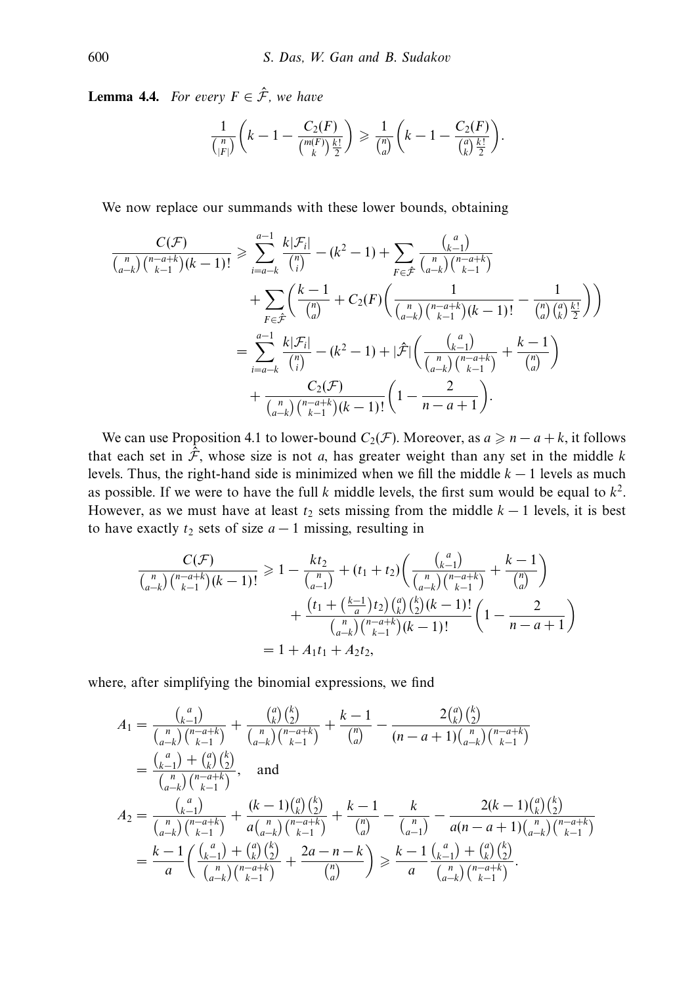**Lemma 4.4.** For every  $F \in \hat{\mathcal{F}}$ , we have

$$
\frac{1}{\binom{n}{|F|}} \left( k - 1 - \frac{C_2(F)}{\binom{m(F)}{k} \frac{k!}{2}} \right) \geq \frac{1}{\binom{n}{a}} \left( k - 1 - \frac{C_2(F)}{\binom{a}{k} \frac{k!}{2}} \right).
$$

We now replace our summands with these lower bounds, obtaining

$$
\frac{C(\mathcal{F})}{\binom{n}{a-k}\binom{n-a+k}{k-1}!} \geq \sum_{i=a-k}^{a-1} \frac{k|\mathcal{F}_i|}{\binom{n}{i}} - (k^2 - 1) + \sum_{F \in \hat{\mathcal{F}}} \frac{\binom{a}{k-1}}{\binom{n}{a-k}\binom{n-a+k}{k-1}} + \sum_{F \in \hat{\mathcal{F}}} \left(\frac{k-1}{\binom{n}{a}} + C_2(F) \left(\frac{1}{\binom{n}{a-k}\binom{n-a+k}{k-1}!(k-1)!} - \frac{1}{\binom{n}{a}\binom{a}{k}\frac{k!}{2}}\right)\right) + \sum_{i=a-k}^{a-1} \frac{k|\mathcal{F}_i|}{\binom{n}{i}} - (k^2 - 1) + |\hat{\mathcal{F}}| \left(\frac{\binom{a}{k-1}}{\binom{n}{a-k}\binom{n-a+k}{k-1}} + \frac{k-1}{\binom{n}{a}}\right) + \frac{C_2(\mathcal{F})}{\binom{n}{a-k}\binom{n-a+k}{k-1}!(k-1)!} \left(1 - \frac{2}{n-a+1}\right).
$$

We can use Proposition 4.1 to lower-bound  $C_2(\mathcal{F})$ . Moreover, as  $a \geq n - a + k$ , it follows that each set in  $\hat{\mathcal{F}}$ , whose size is not *a*, has greater weight than any set in the middle *k* levels. Thus, the right-hand side is minimized when we fill the middle  $k - 1$  levels as much as possible. If we were to have the full  $k$  middle levels, the first sum would be equal to  $k^2$ . However, as we must have at least  $t_2$  sets missing from the middle  $k - 1$  levels, it is best to have exactly  $t_2$  sets of size  $a - 1$  missing, resulting in

$$
\frac{C(\mathcal{F})}{\binom{n}{a-k}\binom{n-a+k}{k-1}(k-1)!} \ge 1 - \frac{kt_2}{\binom{n}{a-1}} + (t_1 + t_2) \left( \frac{\binom{a}{k-1}}{\binom{n}{a-k}\binom{n-a+k}{k-1}} + \frac{k-1}{\binom{n}{a}} \right) + \frac{\left( t_1 + \left( \frac{k-1}{a} \right) t_2 \right) \binom{a}{k} \binom{k}{2} (k-1)!}{\binom{n}{a-k}\binom{n-a+k}{k-1} (k-1)!} \left( 1 - \frac{2}{n-a+1} \right) = 1 + A_1 t_1 + A_2 t_2,
$$

where, after simplifying the binomial expressions, we find

$$
A_{1} = \frac{\binom{a}{k-1}}{\binom{n}{a-k}\binom{n-a+k}{k-1}} + \frac{\binom{a}{k}\binom{k}{2}}{\binom{n-a+k}{k-1}} + \frac{k-1}{\binom{n}{a}} - \frac{2\binom{a}{k}\binom{k}{2}}{(n-a+1)\binom{n}{a-k}\binom{n-a+k}{k-1}}
$$
  
\n
$$
= \frac{\binom{a}{k-1} + \binom{a}{k}\binom{k}{2}}{\binom{n}{a-k}\binom{n-a+k}{k-1}}, \text{ and}
$$
  
\n
$$
A_{2} = \frac{\binom{a}{k-1}}{\binom{n}{a-k}\binom{n-a+k}{k-1}} + \frac{(k-1)\binom{a}{k}\binom{k}{2}}{a\binom{n}{a-k}\binom{n-a+k}{k-1}} + \frac{k-1}{\binom{n}{a}} - \frac{k}{\binom{n}{a-1}} - \frac{2(k-1)\binom{a}{k}\binom{k}{2}}{a(n-a+1)\binom{n}{a-k}\binom{n-a+k}{k-1}}
$$
  
\n
$$
= \frac{k-1}{a} \left( \frac{\binom{a}{k-1} + \binom{a}{k}\binom{k}{2}}{\binom{n}{a-k}\binom{n-a+k}{k-1}} + \frac{2a-n-k}{\binom{n}{a}} \right) \geq k - \frac{1}{a} \frac{\binom{a}{k-1} + \binom{a}{k}\binom{k}{2}}{\binom{n}{a-k}\binom{n-a+k}{k-1}}.
$$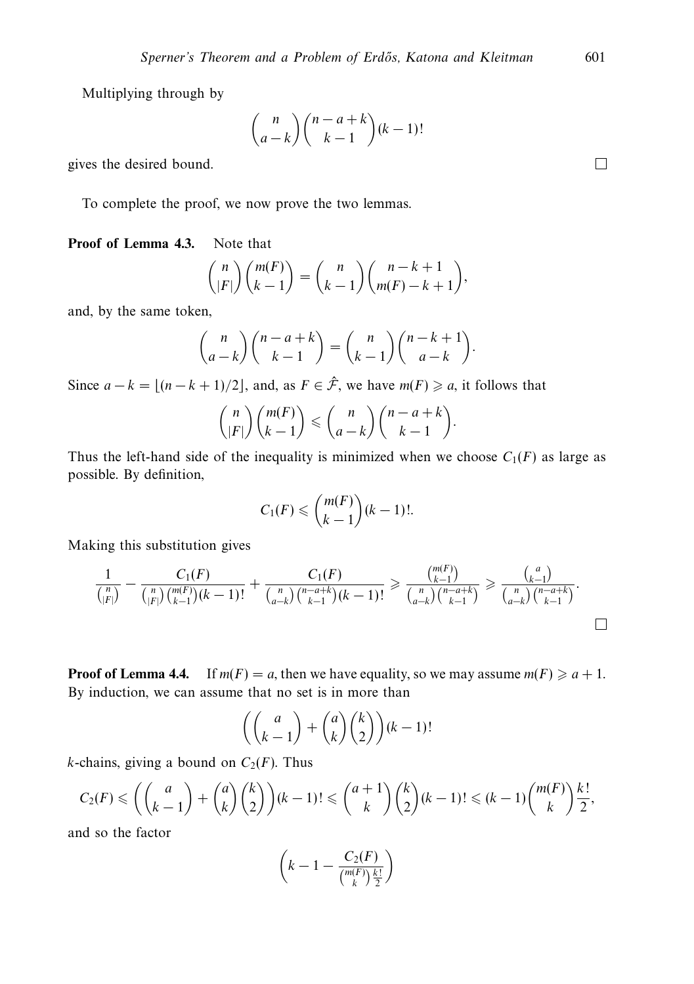Multiplying through by

$$
\binom{n}{a-k}\binom{n-a+k}{k-1}(k-1)!
$$

gives the desired bound.

To complete the proof, we now prove the two lemmas.

**Proof of Lemma 4.3.** Note that

$$
\binom{n}{|F|}\binom{m(F)}{k-1} = \binom{n}{k-1}\binom{n-k+1}{m(F)-k+1},
$$

and, by the same token,

$$
\binom{n}{a-k}\binom{n-a+k}{k-1} = \binom{n}{k-1}\binom{n-k+1}{a-k}.
$$

Since  $a - k = \lfloor (n - k + 1)/2 \rfloor$ , and, as  $F \in \hat{\mathcal{F}}$ , we have  $m(F) \geq a$ , it follows that

$$
\binom{n}{|F|}\binom{m(F)}{k-1} \leqslant \binom{n}{a-k}\binom{n-a+k}{k-1}.
$$

Thus the left-hand side of the inequality is minimized when we choose  $C_1(F)$  as large as possible. By definition,

$$
C_1(F) \leqslant {m(F) \choose k-1}(k-1)!
$$

Making this substitution gives

$$
\frac{1}{\binom{n}{|F|}} - \frac{C_1(F)}{\binom{n}{|F|}\binom{m(F)}{k-1}(k-1)!} + \frac{C_1(F)}{\binom{n}{a-k}\binom{n-a+k}{k-1}(k-1)!} \geqslant \frac{\binom{m(F)}{k-1}}{\binom{n}{a-k}\binom{n-a+k}{k-1}} \geqslant \frac{\binom{a}{k-1}}{\binom{n}{a-k}\binom{n-a+k}{k-1}}.
$$

**Proof of Lemma 4.4.** If  $m(F) = a$ , then we have equality, so we may assume  $m(F) \geq a + 1$ . By induction, we can assume that no set is in more than

$$
\left( \binom{a}{k-1} + \binom{a}{k} \binom{k}{2} \right) (k-1)!
$$

*k*-chains, giving a bound on  $C_2(F)$ . Thus

$$
C_2(F) \leqslant \left( \binom{a}{k-1} + \binom{a}{k} \binom{k}{2} (k-1)! \leqslant \binom{a+1}{k} \binom{k}{2} (k-1)! \leqslant (k-1) \binom{m(F)}{k} \frac{k!}{2},
$$

and so the factor

$$
\left(k-1-\frac{C_2(F)}{\binom{m(F)}{k}\frac{k!}{2}}\right)
$$

 $\Box$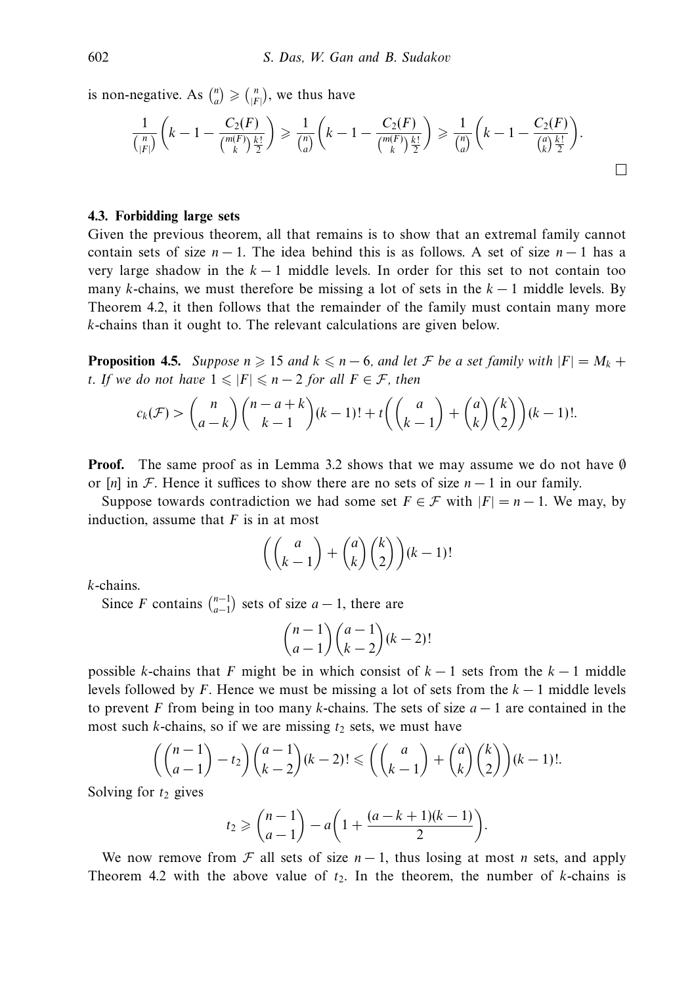is non-negative. As  $\binom{n}{a} \geqslant \binom{n}{|F|}$ , we thus have

$$
\frac{1}{\binom{n}{|F|}} \left( k - 1 - \frac{C_2(F)}{\binom{m(F)}{k} \frac{k!}{2}} \right) \geq \frac{1}{\binom{n}{a}} \left( k - 1 - \frac{C_2(F)}{\binom{m(F)}{k} \frac{k!}{2}} \right) \geq \frac{1}{\binom{n}{a}} \left( k - 1 - \frac{C_2(F)}{\binom{a}{k} \frac{k!}{2}} \right).
$$

#### **4.3. Forbidding large sets**

Given the previous theorem, all that remains is to show that an extremal family cannot contain sets of size  $n-1$ . The idea behind this is as follows. A set of size  $n-1$  has a very large shadow in the  $k-1$  middle levels. In order for this set to not contain too many *k*-chains, we must therefore be missing a lot of sets in the *k* − 1 middle levels. By Theorem 4.2, it then follows that the remainder of the family must contain many more *k*-chains than it ought to. The relevant calculations are given below.

**Proposition 4.5.** Suppose  $n \geq 15$  and  $k \leq n-6$ , and let F be a set family with  $|F| = M_k +$ *t*. If we do not have  $1 \leq |F| \leq n-2$  for all  $F \in \mathcal{F}$ , then

$$
c_k(\mathcal{F}) > \binom{n}{a-k} \binom{n-a+k}{k-1}(k-1)! + t \binom{a}{k-1} + \binom{a}{k} \binom{k}{2}(k-1)!
$$

**Proof.** The same proof as in Lemma 3.2 shows that we may assume we do not have  $\emptyset$ or  $[n]$  in F. Hence it suffices to show there are no sets of size  $n-1$  in our family.

Suppose towards contradiction we had some set  $F \in \mathcal{F}$  with  $|F| = n - 1$ . We may, by induction, assume that *F* is in at most

$$
\left( \binom{a}{k-1} + \binom{a}{k} \binom{k}{2} \right) (k-1)!
$$

*k*-chains.

Since *F* contains  $\binom{n-1}{a-1}$  sets of size  $a-1$ , there are

$$
\binom{n-1}{a-1}\binom{a-1}{k-2}(k-2)!
$$

possible *k*-chains that *F* might be in which consist of  $k - 1$  sets from the  $k - 1$  middle levels followed by *F*. Hence we must be missing a lot of sets from the  $k - 1$  middle levels to prevent *F* from being in too many *k*-chains. The sets of size  $a - 1$  are contained in the most such *k*-chains, so if we are missing  $t_2$  sets, we must have

$$
\left(\binom{n-1}{a-1}-t_2\right)\binom{a-1}{k-2}(k-2)! \leqslant \left(\binom{a}{k-1}+\binom{a}{k}\binom{k}{2}\right)(k-1)!
$$

Solving for  $t_2$  gives

$$
t_2 \geqslant {n-1 \choose a-1} - a \left( 1 + \frac{(a-k+1)(k-1)}{2} \right)
$$

*.*

We now remove from  $\mathcal F$  all sets of size  $n-1$ , thus losing at most *n* sets, and apply Theorem 4.2 with the above value of  $t_2$ . In the theorem, the number of *k*-chains is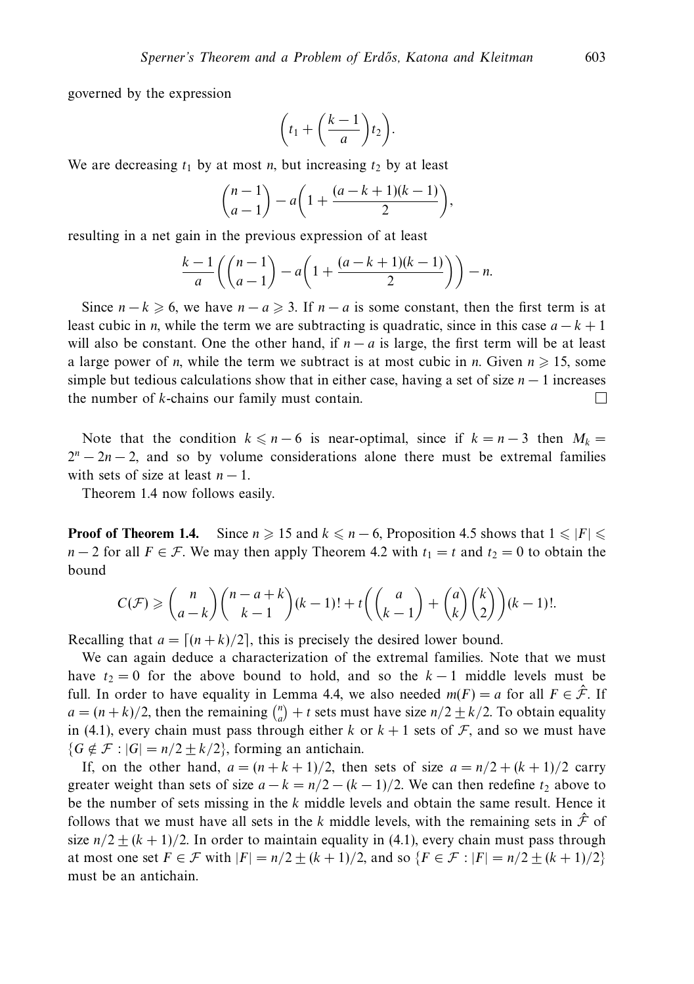governed by the expression

$$
\bigg(t_1+\bigg(\frac{k-1}{a}\bigg)t_2\bigg).
$$

We are decreasing  $t_1$  by at most *n*, but increasing  $t_2$  by at least

$$
\binom{n-1}{a-1} - a\bigg(1 + \frac{(a-k+1)(k-1)}{2}\bigg),
$$

resulting in a net gain in the previous expression of at least

$$
\frac{k-1}{a}\left(\binom{n-1}{a-1}-a\left(1+\frac{(a-k+1)(k-1)}{2}\right)\right)-n.
$$

Since  $n - k \ge 6$ , we have  $n - a \ge 3$ . If  $n - a$  is some constant, then the first term is at least cubic in *n*, while the term we are subtracting is quadratic, since in this case  $a - k + 1$ will also be constant. One the other hand, if  $n - a$  is large, the first term will be at least a large power of *n*, while the term we subtract is at most cubic in *n*. Given  $n \geq 15$ , some simple but tedious calculations show that in either case, having a set of size  $n - 1$  increases the number of *k*-chains our family must contain.  $\Box$ 

Note that the condition  $k \le n - 6$  is near-optimal, since if  $k = n - 3$  then  $M_k =$  $2^n - 2n - 2$ , and so by volume considerations alone there must be extremal families with sets of size at least  $n - 1$ .

Theorem 1.4 now follows easily.

**Proof of Theorem 1.4.** Since *n* ≥ 15 and *k*  $\leq$  *n* − 6, Proposition 4.5 shows that 1  $\leq$  |*F*|  $\leq$ *n* − 2 for all  $F \in \mathcal{F}$ . We may then apply Theorem 4.2 with  $t_1 = t$  and  $t_2 = 0$  to obtain the bound

$$
C(\mathcal{F}) \geqslant {n \choose a-k} {n-a+k \choose k-1} (k-1)! + t {a \choose k-1} + {a \choose k} {k \choose 2} (k-1)!
$$

Recalling that  $a = \lfloor (n+k)/2 \rfloor$ , this is precisely the desired lower bound.

We can again deduce a characterization of the extremal families. Note that we must have  $t_2 = 0$  for the above bound to hold, and so the  $k - 1$  middle levels must be full. In order to have equality in Lemma 4.4, we also needed  $m(F) = a$  for all  $F \in \hat{\mathcal{F}}$ . If  $a = (n + k)/2$ , then the remaining  $\binom{n}{a} + t$  sets must have size  $n/2 \pm k/2$ . To obtain equality in (4.1), every chain must pass through either *k* or  $k + 1$  sets of  $\mathcal{F}$ , and so we must have  ${G \notin \mathcal{F} : |G| = n/2 \pm k/2},$  forming an antichain.

If, on the other hand,  $a = (n + k + 1)/2$ , then sets of size  $a = n/2 + (k + 1)/2$  carry greater weight than sets of size  $a - k = n/2 - (k - 1)/2$ . We can then redefine  $t_2$  above to be the number of sets missing in the *k* middle levels and obtain the same result. Hence it follows that we must have all sets in the *k* middle levels, with the remaining sets in  $\hat{\mathcal{F}}$  of size  $n/2 \pm (k + 1)/2$ . In order to maintain equality in (4.1), every chain must pass through at most one set  $F \in \mathcal{F}$  with  $|F| = n/2 \pm (k+1)/2$ , and so  $\{F \in \mathcal{F} : |F| = n/2 \pm (k+1)/2\}$ must be an antichain.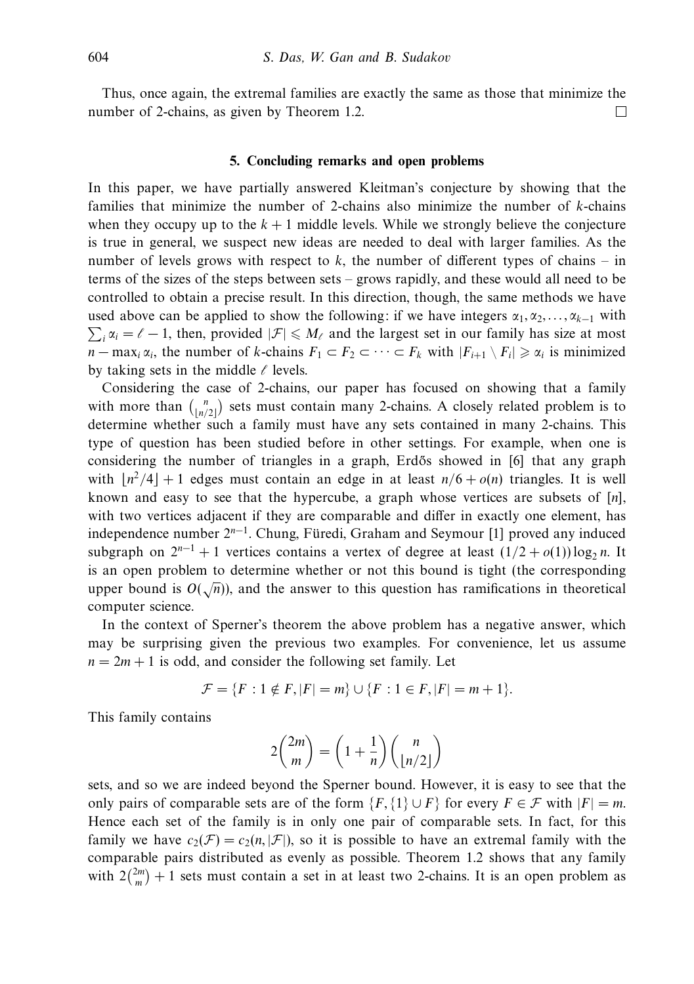Thus, once again, the extremal families are exactly the same as those that minimize the number of 2-chains, as given by Theorem 1.2. П

#### **5. Concluding remarks and open problems**

In this paper, we have partially answered Kleitman's conjecture by showing that the families that minimize the number of 2-chains also minimize the number of *k*-chains when they occupy up to the  $k + 1$  middle levels. While we strongly believe the conjecture is true in general, we suspect new ideas are needed to deal with larger families. As the number of levels grows with respect to  $k$ , the number of different types of chains – in terms of the sizes of the steps between sets – grows rapidly, and these would all need to be controlled to obtain a precise result. In this direction, though, the same methods we have used above can be applied to show the following: if we have integers  $\alpha_1, \alpha_2, \ldots, \alpha_{k-1}$  with  $\sum_i \alpha_i = \ell - 1$ , then, provided  $|\mathcal{F}| \le M_\ell$  and the largest set in our family has size at most *n* − max<sub>*i*</sub>  $\alpha_i$ , the number of *k*-chains  $F_1 \subset F_2 \subset \cdots \subset F_k$  with  $|F_{i+1} \setminus F_i| \geq \alpha_i$  is minimized by taking sets in the middle  $\ell$  levels.

Considering the case of 2-chains, our paper has focused on showing that a family with more than  $\binom{n}{\lfloor n/2 \rfloor}$  sets must contain many 2-chains. A closely related problem is to determine whether such a family must have any sets contained in many 2-chains. This type of question has been studied before in other settings. For example, when one is considering the number of triangles in a graph, Erdős showed in [6] that any graph with  $n^2/4$  + 1 edges must contain an edge in at least  $n/6 + o(n)$  triangles. It is well known and easy to see that the hypercube, a graph whose vertices are subsets of [*n*], with two vertices adjacent if they are comparable and differ in exactly one element, has independence number 2<sup>n-1</sup>. Chung, Füredi, Graham and Seymour [1] proved any induced subgraph on  $2^{n-1} + 1$  vertices contains a vertex of degree at least  $(1/2 + o(1)) \log_2 n$ . It is an open problem to determine whether or not this bound is tight (the corresponding upper bound is  $O(\sqrt{n})$ , and the answer to this question has ramifications in theoretical computer science.

In the context of Sperner's theorem the above problem has a negative answer, which may be surprising given the previous two examples. For convenience, let us assume  $n = 2m + 1$  is odd, and consider the following set family. Let

$$
\mathcal{F} = \{F : 1 \notin F, |F| = m\} \cup \{F : 1 \in F, |F| = m + 1\}.
$$

This family contains

$$
2\binom{2m}{m} = \left(1 + \frac{1}{n}\right)\binom{n}{\lfloor n/2 \rfloor}
$$

sets, and so we are indeed beyond the Sperner bound. However, it is easy to see that the only pairs of comparable sets are of the form  ${F, \{1\} \cup F}$  for every  $F \in \mathcal{F}$  with  $|F| = m$ . Hence each set of the family is in only one pair of comparable sets. In fact, for this family we have  $c_2(\mathcal{F}) = c_2(n, |\mathcal{F}|)$ , so it is possible to have an extremal family with the comparable pairs distributed as evenly as possible. Theorem 1.2 shows that any family with  $2\binom{2m}{m}+1$  sets must contain a set in at least two 2-chains. It is an open problem as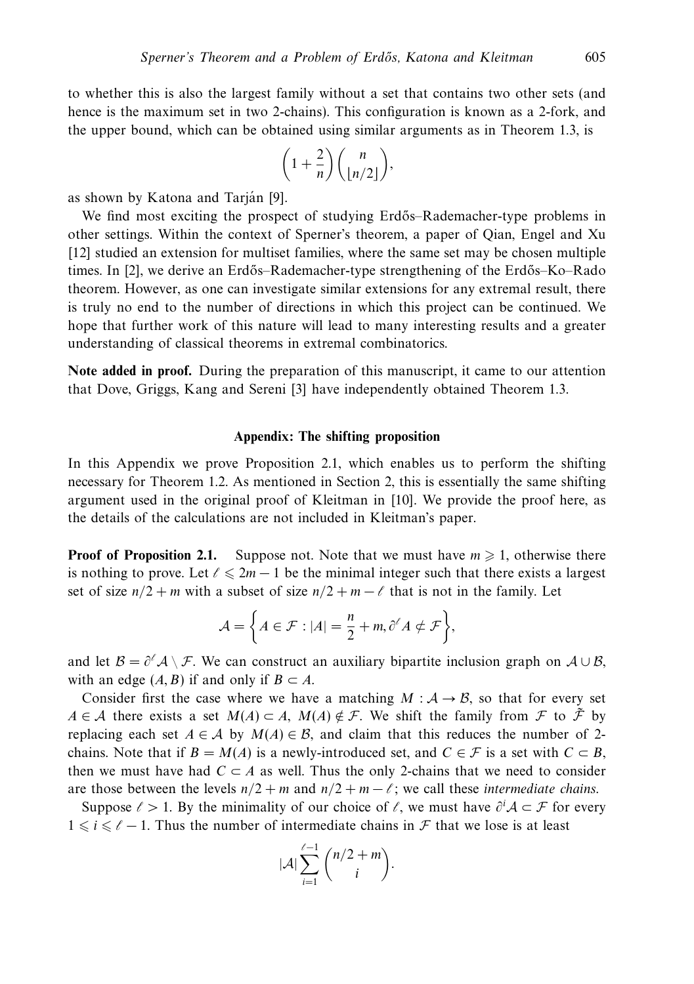to whether this is also the largest family without a set that contains two other sets (and hence is the maximum set in two 2-chains). This configuration is known as a 2-fork, and the upper bound, which can be obtained using similar arguments as in Theorem 1.3, is

$$
\left(1+\frac{2}{n}\right)\binom{n}{\lfloor n/2\rfloor},\,
$$

as shown by Katona and Tarián [9].

We find most exciting the prospect of studying Erdős–Rademacher-type problems in other settings. Within the context of Sperner's theorem, a paper of Qian, Engel and Xu [12] studied an extension for multiset families, where the same set may be chosen multiple times. In [2], we derive an Erdős–Rademacher-type strengthening of the Erdős–Ko–Rado theorem. However, as one can investigate similar extensions for any extremal result, there is truly no end to the number of directions in which this project can be continued. We hope that further work of this nature will lead to many interesting results and a greater understanding of classical theorems in extremal combinatorics.

**Note added in proof.** During the preparation of this manuscript, it came to our attention that Dove, Griggs, Kang and Sereni [3] have independently obtained Theorem 1.3.

#### **Appendix: The shifting proposition**

In this Appendix we prove Proposition 2.1, which enables us to perform the shifting necessary for Theorem 1.2. As mentioned in Section 2, this is essentially the same shifting argument used in the original proof of Kleitman in [10]. We provide the proof here, as the details of the calculations are not included in Kleitman's paper.

**Proof of Proposition 2.1.** Suppose not. Note that we must have  $m \geq 1$ , otherwise there is nothing to prove. Let  $\ell \leq 2m - 1$  be the minimal integer such that there exists a largest set of size  $n/2 + m$  with a subset of size  $n/2 + m - \ell$  that is not in the family. Let

$$
\mathcal{A} = \bigg\{ A \in \mathcal{F} : |A| = \frac{n}{2} + m, \partial^{\ell} A \notin \mathcal{F} \bigg\},
$$

and let  $B = \partial^2 A \setminus F$ . We can construct an auxiliary bipartite inclusion graph on  $A \cup B$ , with an edge  $(A, B)$  if and only if  $B \subset A$ .

Consider first the case where we have a matching  $M : A \rightarrow B$ , so that for every set *A* ∈ *A* there exists a set  $M(A) \subset A$ ,  $M(A) \notin \mathcal{F}$ . We shift the family from  $\mathcal{F}$  to  $\tilde{\mathcal{F}}$  by replacing each set  $A \in \mathcal{A}$  by  $M(A) \in \mathcal{B}$ , and claim that this reduces the number of 2chains. Note that if  $B = M(A)$  is a newly-introduced set, and  $C \in \mathcal{F}$  is a set with  $C \subset B$ , then we must have had  $C \subset A$  as well. Thus the only 2-chains that we need to consider are those between the levels  $n/2 + m$  and  $n/2 + m - \ell$ ; we call these intermediate chains.

Suppose  $\ell > 1$ . By the minimality of our choice of  $\ell$ , we must have  $\partial^i A \subset \mathcal{F}$  for every  $1 \leq i \leq \ell - 1$ . Thus the number of intermediate chains in  $\mathcal F$  that we lose is at least

$$
|\mathcal{A}| \sum_{i=1}^{\ell-1} \binom{n/2+m}{i}.
$$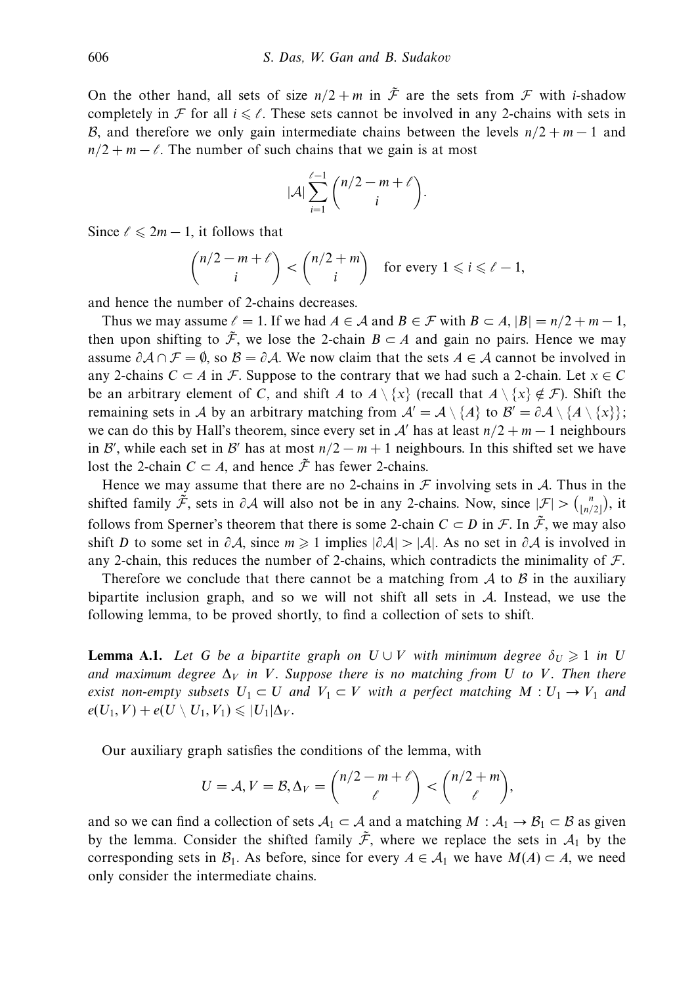On the other hand, all sets of size  $n/2 + m$  in  $\tilde{\mathcal{F}}$  are the sets from  $\mathcal F$  with *i*-shadow completely in  $\mathcal F$  for all  $i \leq \ell$ . These sets cannot be involved in any 2-chains with sets in B, and therefore we only gain intermediate chains between the levels  $n/2 + m - 1$  and  $n/2 + m - \ell$ . The number of such chains that we gain is at most

$$
|\mathcal{A}| \sum_{i=1}^{\ell-1} \binom{n/2-m+\ell}{i}.
$$

Since  $\ell \leq 2m - 1$ , it follows that

$$
\binom{n/2-m+\ell}{i} < \binom{n/2+m}{i} \quad \text{for every } 1 \leq i \leq \ell-1,
$$

and hence the number of 2-chains decreases.

Thus we may assume  $\ell = 1$ . If we had  $A \in \mathcal{A}$  and  $B \in \mathcal{F}$  with  $B \subset A$ ,  $|B| = n/2 + m - 1$ , then upon shifting to  $\tilde{\mathcal{F}}$ , we lose the 2-chain  $B \subset A$  and gain no pairs. Hence we may assume  $\partial A \cap \mathcal{F} = \emptyset$ , so  $\mathcal{B} = \partial A$ . We now claim that the sets  $A \in \mathcal{A}$  cannot be involved in any 2-chains  $C \subset A$  in F. Suppose to the contrary that we had such a 2-chain. Let  $x \in C$ be an arbitrary element of *C*, and shift *A* to  $A \setminus \{x\}$  (recall that  $A \setminus \{x\} \notin \mathcal{F}$ ). Shift the remaining sets in A by an arbitrary matching from  $\mathcal{A}' = \mathcal{A} \setminus \{A\}$  to  $\mathcal{B}' = \partial \mathcal{A} \setminus \{A\} \setminus \{x\}$ ; we can do this by Hall's theorem, since every set in  $A'$  has at least  $n/2 + m - 1$  neighbours in B', while each set in B' has at most  $n/2 - m + 1$  neighbours. In this shifted set we have lost the 2-chain  $C \subset A$ , and hence  $\tilde{\mathcal{F}}$  has fewer 2-chains.

Hence we may assume that there are no 2-chains in  $\mathcal F$  involving sets in  $\mathcal A$ . Thus in the shifted family  $\tilde{\mathcal{F}}$ , sets in  $\partial \mathcal{A}$  will also not be in any 2-chains. Now, since  $|\mathcal{F}| > \binom{n}{\lfloor n/2 \rfloor}$ , it follows from Sperner's theorem that there is some 2-chain  $C \subset D$  in  $\mathcal{F}$ . In  $\tilde{\mathcal{F}}$ , we may also shift *D* to some set in  $\partial A$ , since  $m \ge 1$  implies  $|\partial A| > |A|$ . As no set in  $\partial A$  is involved in any 2-chain, this reduces the number of 2-chains, which contradicts the minimality of  $\mathcal{F}$ .

Therefore we conclude that there cannot be a matching from  $A$  to  $B$  in the auxiliary bipartite inclusion graph, and so we will not shift all sets in A. Instead, we use the following lemma, to be proved shortly, to find a collection of sets to shift.

**Lemma A.1.** Let G be a bipartite graph on  $U \cup V$  with minimum degree  $\delta_U \geq 1$  in U and maximum degree  $\Delta_V$  in *V*. Suppose there is no matching from *U* to *V*. Then there exist non-empty subsets  $U_1 \subset U$  and  $V_1 \subset V$  with a perfect matching  $M: U_1 \to V_1$  and  $e(U_1, V) + e(U \setminus U_1, V_1) \leq |U_1|\Delta_V$ .

Our auxiliary graph satisfies the conditions of the lemma, with

$$
U = A, V = B, \Delta_V = {n/2 - m + \ell \choose \ell} < {n/2 + m \choose \ell},
$$

and so we can find a collection of sets  $A_1 \subset A$  and a matching  $M : A_1 \to B_1 \subset B$  as given by the lemma. Consider the shifted family  $\tilde{\mathcal{F}}$ , where we replace the sets in  $\mathcal{A}_1$  by the corresponding sets in  $\mathcal{B}_1$ . As before, since for every  $A \in \mathcal{A}_1$  we have  $M(A) \subset A$ , we need only consider the intermediate chains.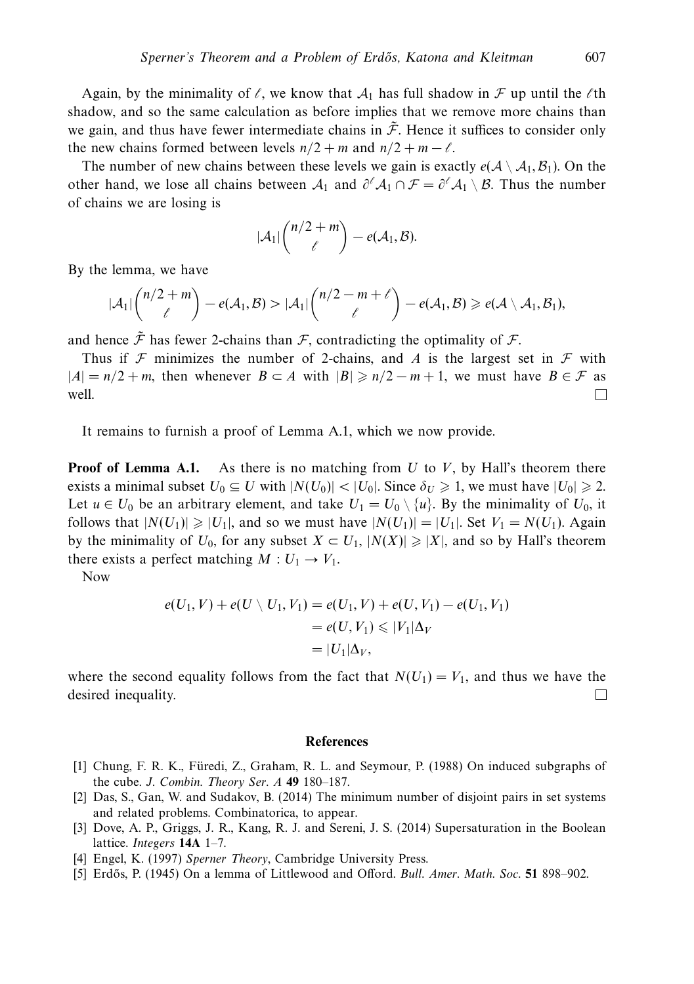Again, by the minimality of  $\ell$ , we know that  $\mathcal{A}_1$  has full shadow in  $\mathcal F$  up until the  $\ell$ th shadow, and so the same calculation as before implies that we remove more chains than we gain, and thus have fewer intermediate chains in  $\tilde{\mathcal{F}}$ . Hence it suffices to consider only the new chains formed between levels  $n/2 + m$  and  $n/2 + m - \ell$ .

The number of new chains between these levels we gain is exactly  $e(A \setminus A_1, B_1)$ . On the other hand, we lose all chains between  $A_1$  and  $\partial^{\ell} A_1 \cap \mathcal{F} = \partial^{\ell} A_1 \setminus \mathcal{B}$ . Thus the number of chains we are losing is

$$
|\mathcal{A}_1| \binom{n/2+m}{\ell} - e(\mathcal{A}_1, \mathcal{B}).
$$

By the lemma, we have

$$
|\mathcal{A}_1| \binom{n/2+m}{\ell} - e(\mathcal{A}_1, \mathcal{B}) > |\mathcal{A}_1| \binom{n/2-m+\ell}{\ell} - e(\mathcal{A}_1, \mathcal{B}) \geqslant e(\mathcal{A} \setminus \mathcal{A}_1, \mathcal{B}_1),
$$

and hence  $\tilde{\mathcal{F}}$  has fewer 2-chains than  $\mathcal{F}$ , contradicting the optimality of  $\mathcal{F}$ .

Thus if  $\mathcal F$  minimizes the number of 2-chains, and A is the largest set in  $\mathcal F$  with  $|A| = n/2 + m$ , then whenever  $B \subset A$  with  $|B| \geq n/2 - m + 1$ , we must have  $B \in \mathcal{F}$  as well.

It remains to furnish a proof of Lemma A.1, which we now provide.

**Proof of Lemma A.1.** As there is no matching from *U* to *V*, by Hall's theorem there exists a minimal subset  $U_0 \subseteq U$  with  $|N(U_0)| < |U_0|$ . Since  $\delta_U \geq 1$ , we must have  $|U_0| \geq 2$ . Let  $u \in U_0$  be an arbitrary element, and take  $U_1 = U_0 \setminus \{u\}$ . By the minimality of  $U_0$ , it follows that  $|N(U_1)| \geq |U_1|$ , and so we must have  $|N(U_1)| = |U_1|$ . Set  $V_1 = N(U_1)$ . Again by the minimality of  $U_0$ , for any subset  $X \subset U_1$ ,  $|N(X)| \geq |X|$ , and so by Hall's theorem there exists a perfect matching  $M: U_1 \rightarrow V_1$ .

Now

$$
e(U_1, V) + e(U \setminus U_1, V_1) = e(U_1, V) + e(U, V_1) - e(U_1, V_1)
$$
  
=  $e(U, V_1) \le |V_1|\Delta_V$   
=  $|U_1|\Delta_V$ ,

where the second equality follows from the fact that  $N(U_1) = V_1$ , and thus we have the desired inequality. П

#### **References**

- [1] Chung, F. R. K., Füredi, Z., Graham, R. L. and Seymour, P. (1988) On induced subgraphs of the cube. J. Combin. Theory Ser. A **49** 180–187.
- [2] Das, S., Gan, W. and Sudakov, B. (2014) The minimum number of disjoint pairs in set systems and related problems. Combinatorica, to appear.
- [3] Dove, A. P., Griggs, J. R., Kang, R. J. and Sereni, J. S. (2014) Supersaturation in the Boolean lattice. Integers **14A** 1–7.
- [4] Engel, K. (1997) Sperner Theory, Cambridge University Press.
- [5] Erd˝os, P. (1945) On a lemma of Littlewood and Offord. Bull. Amer. Math. Soc. **51** 898–902.